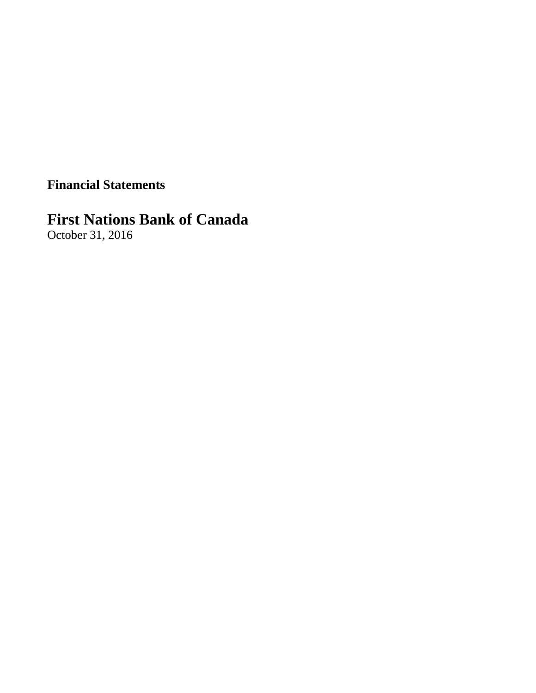**Financial Statements**

# **First Nations Bank of Canada**

October 31, 2016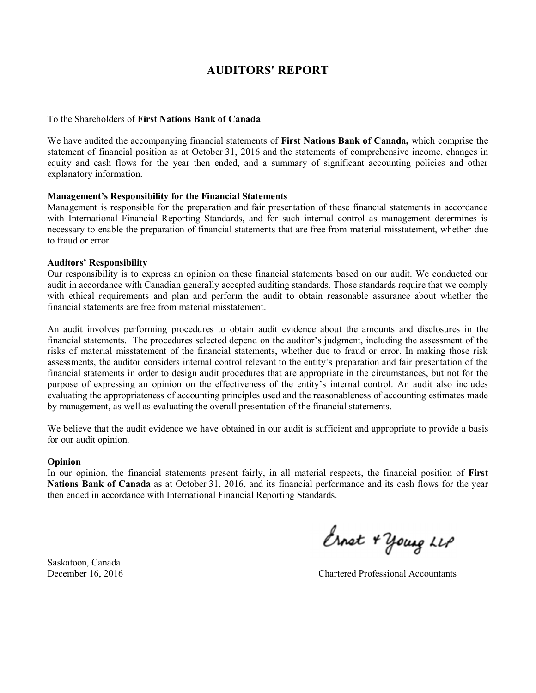# **AUDITORS' REPORT**

#### To the Shareholders of **First Nations Bank of Canada**

We have audited the accompanying financial statements of **First Nations Bank of Canada,** which comprise the statement of financial position as at October 31, 2016 and the statements of comprehensive income, changes in equity and cash flows for the year then ended, and a summary of significant accounting policies and other explanatory information.

#### **Management's Responsibility for the Financial Statements**

Management is responsible for the preparation and fair presentation of these financial statements in accordance with International Financial Reporting Standards, and for such internal control as management determines is necessary to enable the preparation of financial statements that are free from material misstatement, whether due to fraud or error.

#### **Auditors' Responsibility**

Our responsibility is to express an opinion on these financial statements based on our audit. We conducted our audit in accordance with Canadian generally accepted auditing standards. Those standards require that we comply with ethical requirements and plan and perform the audit to obtain reasonable assurance about whether the financial statements are free from material misstatement.

An audit involves performing procedures to obtain audit evidence about the amounts and disclosures in the financial statements. The procedures selected depend on the auditor's judgment, including the assessment of the risks of material misstatement of the financial statements, whether due to fraud or error. In making those risk assessments, the auditor considers internal control relevant to the entity's preparation and fair presentation of the financial statements in order to design audit procedures that are appropriate in the circumstances, but not for the purpose of expressing an opinion on the effectiveness of the entity's internal control. An audit also includes evaluating the appropriateness of accounting principles used and the reasonableness of accounting estimates made by management, as well as evaluating the overall presentation of the financial statements.

We believe that the audit evidence we have obtained in our audit is sufficient and appropriate to provide a basis for our audit opinion.

#### **Opinion**

In our opinion, the financial statements present fairly, in all material respects, the financial position of **First Nations Bank of Canada** as at October 31, 2016, and its financial performance and its cash flows for the year then ended in accordance with International Financial Reporting Standards.

Saskatoon, Canada

Ernst + young LLP

December 16, 2016 Chartered Professional Accountants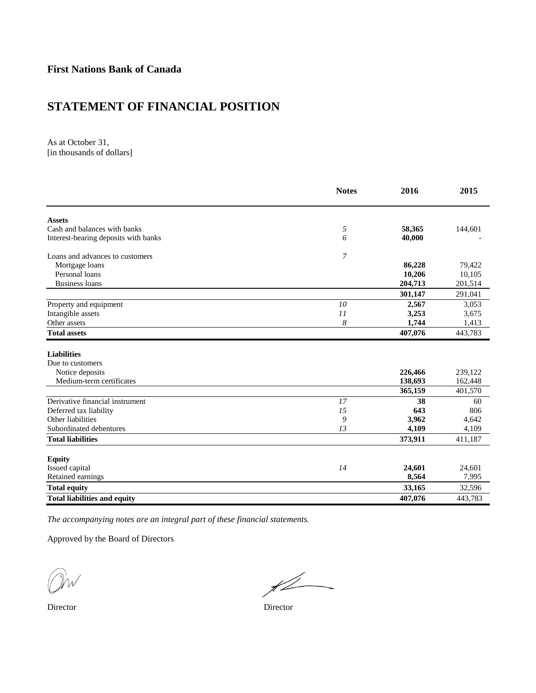# **STATEMENT OF FINANCIAL POSITION**

As at October 31, [in thousands of dollars]

|                                      | <b>Notes</b> | 2016    | 2015            |
|--------------------------------------|--------------|---------|-----------------|
| <b>Assets</b>                        |              |         |                 |
| Cash and balances with banks         | 5            | 58,365  | 144,601         |
| Interest-bearing deposits with banks | 6            | 40,000  |                 |
| Loans and advances to customers      | 7            |         |                 |
| Mortgage loans                       |              | 86,228  | 79,422          |
| Personal loans                       |              | 10,206  | 10,105          |
| <b>Business loans</b>                |              | 204,713 | 201,514         |
|                                      |              | 301,147 | 291,041         |
| Property and equipment               | 10           | 2,567   | 3,053           |
| Intangible assets                    | 11           | 3,253   | 3,675           |
| Other assets                         | 8            | 1,744   | 1,413           |
| <b>Total assets</b>                  |              | 407,076 | 443,783         |
| <b>Liabilities</b>                   |              |         |                 |
| Due to customers                     |              |         |                 |
| Notice deposits                      |              | 226,466 | 239,122         |
| Medium-term certificates             |              | 138,693 | 162,448         |
|                                      |              | 365,159 | 401,570         |
| Derivative financial instrument      | 17           | 38      | 60              |
| Deferred tax liability               | 15           | 643     | 806             |
| Other liabilities                    | 9            | 3.962   | 4.642           |
| Subordinated debentures              | 13           | 4,109   | 4,109           |
| <b>Total liabilities</b>             |              | 373,911 | 411,187         |
|                                      |              |         |                 |
| <b>Equity</b>                        | 14           | 24,601  |                 |
| Issued capital<br>Retained earnings  |              | 8,564   | 24,601<br>7,995 |
| <b>Total equity</b>                  |              | 33,165  | 32,596          |
| <b>Total liabilities and equity</b>  |              | 407,076 | 443,783         |

*The accompanying notes are an integral part of these financial statements.*

Approved by the Board of Directors

 $\mathbb{Z}$ 

Director Director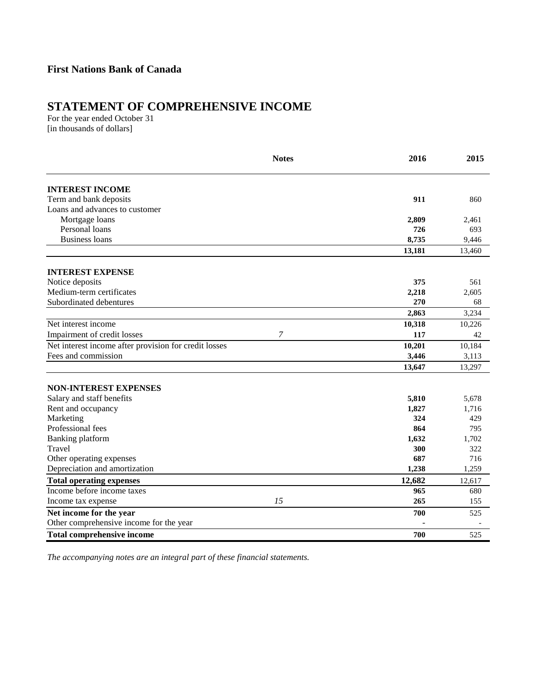# **STATEMENT OF COMPREHENSIVE INCOME**

For the year ended October 31 [in thousands of dollars]

|                                                       | <b>Notes</b> | 2016   | 2015   |
|-------------------------------------------------------|--------------|--------|--------|
| <b>INTEREST INCOME</b>                                |              |        |        |
| Term and bank deposits                                |              | 911    | 860    |
| Loans and advances to customer                        |              |        |        |
| Mortgage loans                                        |              | 2,809  | 2,461  |
| Personal loans                                        |              | 726    | 693    |
| <b>Business loans</b>                                 |              | 8,735  | 9,446  |
|                                                       |              | 13,181 | 13,460 |
| <b>INTEREST EXPENSE</b>                               |              |        |        |
| Notice deposits                                       |              | 375    | 561    |
| Medium-term certificates                              |              | 2,218  | 2,605  |
| Subordinated debentures                               |              | 270    | 68     |
|                                                       |              | 2,863  | 3,234  |
| Net interest income                                   |              | 10,318 | 10,226 |
| Impairment of credit losses                           | 7            | 117    | 42     |
| Net interest income after provision for credit losses |              | 10,201 | 10,184 |
| Fees and commission                                   |              | 3,446  | 3,113  |
|                                                       |              | 13,647 | 13,297 |
| <b>NON-INTEREST EXPENSES</b>                          |              |        |        |
| Salary and staff benefits                             |              | 5,810  | 5,678  |
| Rent and occupancy                                    |              | 1,827  | 1,716  |
| Marketing                                             |              | 324    | 429    |
| Professional fees                                     |              | 864    | 795    |
| Banking platform                                      |              | 1,632  | 1,702  |
| Travel                                                |              | 300    | 322    |
| Other operating expenses                              |              | 687    | 716    |
| Depreciation and amortization                         |              | 1,238  | 1,259  |
| <b>Total operating expenses</b>                       |              | 12,682 | 12,617 |
| Income before income taxes                            |              | 965    | 680    |
| Income tax expense                                    | 15           | 265    | 155    |
| Net income for the year                               |              | 700    | 525    |
| Other comprehensive income for the year               |              |        |        |
| <b>Total comprehensive income</b>                     |              | 700    | 525    |

*The accompanying notes are an integral part of these financial statements.*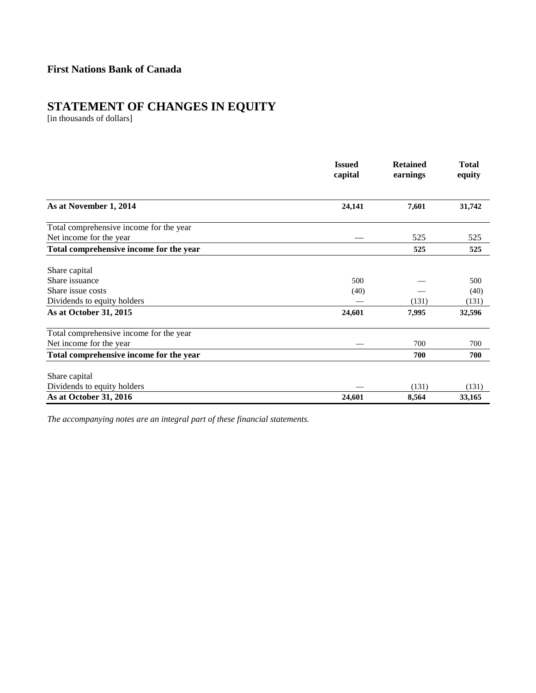# **STATEMENT OF CHANGES IN EQUITY**

[in thousands of dollars]

|                                         | <b>Issued</b><br>capital | <b>Retained</b><br>earnings | <b>Total</b><br>equity |
|-----------------------------------------|--------------------------|-----------------------------|------------------------|
| As at November 1, 2014                  | 24,141                   | 7,601                       | 31,742                 |
| Total comprehensive income for the year |                          |                             |                        |
| Net income for the year                 |                          | 525                         | 525                    |
| Total comprehensive income for the year |                          | 525                         | 525                    |
| Share capital                           |                          |                             |                        |
| Share issuance                          | 500                      |                             | 500                    |
| Share issue costs                       | (40)                     |                             | (40)                   |
| Dividends to equity holders             |                          | (131)                       | (131)                  |
| As at October 31, 2015                  | 24,601                   | 7,995                       | 32,596                 |
| Total comprehensive income for the year |                          |                             |                        |
| Net income for the year                 |                          | 700                         | 700                    |
| Total comprehensive income for the year |                          | 700                         | 700                    |
| Share capital                           |                          |                             |                        |
| Dividends to equity holders             |                          | (131)                       | (131)                  |
| As at October 31, 2016                  | 24,601                   | 8,564                       | 33,165                 |

*The accompanying notes are an integral part of these financial statements.*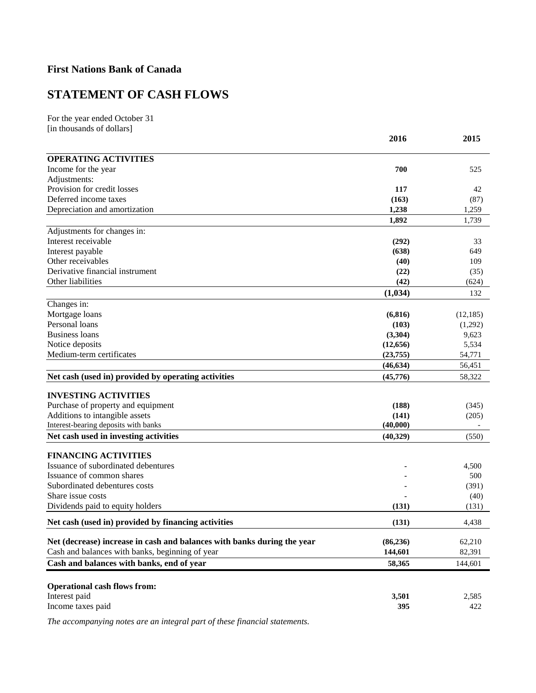# **STATEMENT OF CASH FLOWS**

For the year ended October 31 [in thousands of dollars]

| <b>OPERATING ACTIVITIES</b><br>Income for the year<br>700<br>Adjustments:<br>Provision for credit losses<br>117<br>Deferred income taxes<br>(163)<br>Depreciation and amortization<br>1,238<br>1,892<br>Adjustments for changes in:<br>Interest receivable<br>(292)<br>Interest payable<br>(638)<br>Other receivables<br>(40)<br>Derivative financial instrument<br>(22)<br>Other liabilities<br>(42)<br>(1,034)<br>Changes in:<br>Mortgage loans<br>(6, 816)<br>Personal loans<br>(103)<br><b>Business loans</b><br>(3,304)<br>Notice deposits<br>(12, 656)<br>Medium-term certificates<br>(23,755)<br>(46, 634)<br>Net cash (used in) provided by operating activities<br>(45,776)<br><b>INVESTING ACTIVITIES</b><br>Purchase of property and equipment<br>(188)<br>(345)<br>Additions to intangible assets<br>(141)<br>(205)<br>Interest-bearing deposits with banks<br>(40,000)<br>Net cash used in investing activities<br>(40, 329)<br><b>FINANCING ACTIVITIES</b><br>Issuance of subordinated debentures<br>Issuance of common shares<br>Subordinated debentures costs<br>Share issue costs<br>Dividends paid to equity holders<br>(131)<br>Net cash (used in) provided by financing activities<br>(131)<br>Net (decrease) increase in cash and balances with banks during the year<br>(86, 236)<br>62,210<br>Cash and balances with banks, beginning of year<br>144,601<br>82,391 |                                           | 2016   | 2015      |
|-------------------------------------------------------------------------------------------------------------------------------------------------------------------------------------------------------------------------------------------------------------------------------------------------------------------------------------------------------------------------------------------------------------------------------------------------------------------------------------------------------------------------------------------------------------------------------------------------------------------------------------------------------------------------------------------------------------------------------------------------------------------------------------------------------------------------------------------------------------------------------------------------------------------------------------------------------------------------------------------------------------------------------------------------------------------------------------------------------------------------------------------------------------------------------------------------------------------------------------------------------------------------------------------------------------------------------------------------------------------------------------------|-------------------------------------------|--------|-----------|
|                                                                                                                                                                                                                                                                                                                                                                                                                                                                                                                                                                                                                                                                                                                                                                                                                                                                                                                                                                                                                                                                                                                                                                                                                                                                                                                                                                                           |                                           |        |           |
|                                                                                                                                                                                                                                                                                                                                                                                                                                                                                                                                                                                                                                                                                                                                                                                                                                                                                                                                                                                                                                                                                                                                                                                                                                                                                                                                                                                           |                                           |        | 525       |
|                                                                                                                                                                                                                                                                                                                                                                                                                                                                                                                                                                                                                                                                                                                                                                                                                                                                                                                                                                                                                                                                                                                                                                                                                                                                                                                                                                                           |                                           |        |           |
|                                                                                                                                                                                                                                                                                                                                                                                                                                                                                                                                                                                                                                                                                                                                                                                                                                                                                                                                                                                                                                                                                                                                                                                                                                                                                                                                                                                           |                                           |        | 42        |
|                                                                                                                                                                                                                                                                                                                                                                                                                                                                                                                                                                                                                                                                                                                                                                                                                                                                                                                                                                                                                                                                                                                                                                                                                                                                                                                                                                                           |                                           |        | (87)      |
|                                                                                                                                                                                                                                                                                                                                                                                                                                                                                                                                                                                                                                                                                                                                                                                                                                                                                                                                                                                                                                                                                                                                                                                                                                                                                                                                                                                           |                                           |        | 1,259     |
|                                                                                                                                                                                                                                                                                                                                                                                                                                                                                                                                                                                                                                                                                                                                                                                                                                                                                                                                                                                                                                                                                                                                                                                                                                                                                                                                                                                           |                                           |        | 1,739     |
|                                                                                                                                                                                                                                                                                                                                                                                                                                                                                                                                                                                                                                                                                                                                                                                                                                                                                                                                                                                                                                                                                                                                                                                                                                                                                                                                                                                           |                                           |        |           |
|                                                                                                                                                                                                                                                                                                                                                                                                                                                                                                                                                                                                                                                                                                                                                                                                                                                                                                                                                                                                                                                                                                                                                                                                                                                                                                                                                                                           |                                           |        | 33        |
|                                                                                                                                                                                                                                                                                                                                                                                                                                                                                                                                                                                                                                                                                                                                                                                                                                                                                                                                                                                                                                                                                                                                                                                                                                                                                                                                                                                           |                                           |        | 649       |
|                                                                                                                                                                                                                                                                                                                                                                                                                                                                                                                                                                                                                                                                                                                                                                                                                                                                                                                                                                                                                                                                                                                                                                                                                                                                                                                                                                                           |                                           |        | 109       |
|                                                                                                                                                                                                                                                                                                                                                                                                                                                                                                                                                                                                                                                                                                                                                                                                                                                                                                                                                                                                                                                                                                                                                                                                                                                                                                                                                                                           |                                           |        | (35)      |
|                                                                                                                                                                                                                                                                                                                                                                                                                                                                                                                                                                                                                                                                                                                                                                                                                                                                                                                                                                                                                                                                                                                                                                                                                                                                                                                                                                                           |                                           |        | (624)     |
|                                                                                                                                                                                                                                                                                                                                                                                                                                                                                                                                                                                                                                                                                                                                                                                                                                                                                                                                                                                                                                                                                                                                                                                                                                                                                                                                                                                           |                                           |        | 132       |
|                                                                                                                                                                                                                                                                                                                                                                                                                                                                                                                                                                                                                                                                                                                                                                                                                                                                                                                                                                                                                                                                                                                                                                                                                                                                                                                                                                                           |                                           |        |           |
|                                                                                                                                                                                                                                                                                                                                                                                                                                                                                                                                                                                                                                                                                                                                                                                                                                                                                                                                                                                                                                                                                                                                                                                                                                                                                                                                                                                           |                                           |        | (12, 185) |
|                                                                                                                                                                                                                                                                                                                                                                                                                                                                                                                                                                                                                                                                                                                                                                                                                                                                                                                                                                                                                                                                                                                                                                                                                                                                                                                                                                                           |                                           |        | (1,292)   |
|                                                                                                                                                                                                                                                                                                                                                                                                                                                                                                                                                                                                                                                                                                                                                                                                                                                                                                                                                                                                                                                                                                                                                                                                                                                                                                                                                                                           |                                           |        | 9,623     |
|                                                                                                                                                                                                                                                                                                                                                                                                                                                                                                                                                                                                                                                                                                                                                                                                                                                                                                                                                                                                                                                                                                                                                                                                                                                                                                                                                                                           |                                           |        | 5,534     |
|                                                                                                                                                                                                                                                                                                                                                                                                                                                                                                                                                                                                                                                                                                                                                                                                                                                                                                                                                                                                                                                                                                                                                                                                                                                                                                                                                                                           |                                           |        | 54,771    |
|                                                                                                                                                                                                                                                                                                                                                                                                                                                                                                                                                                                                                                                                                                                                                                                                                                                                                                                                                                                                                                                                                                                                                                                                                                                                                                                                                                                           |                                           |        | 56,451    |
|                                                                                                                                                                                                                                                                                                                                                                                                                                                                                                                                                                                                                                                                                                                                                                                                                                                                                                                                                                                                                                                                                                                                                                                                                                                                                                                                                                                           |                                           |        | 58,322    |
|                                                                                                                                                                                                                                                                                                                                                                                                                                                                                                                                                                                                                                                                                                                                                                                                                                                                                                                                                                                                                                                                                                                                                                                                                                                                                                                                                                                           |                                           |        |           |
|                                                                                                                                                                                                                                                                                                                                                                                                                                                                                                                                                                                                                                                                                                                                                                                                                                                                                                                                                                                                                                                                                                                                                                                                                                                                                                                                                                                           |                                           |        |           |
|                                                                                                                                                                                                                                                                                                                                                                                                                                                                                                                                                                                                                                                                                                                                                                                                                                                                                                                                                                                                                                                                                                                                                                                                                                                                                                                                                                                           |                                           |        |           |
|                                                                                                                                                                                                                                                                                                                                                                                                                                                                                                                                                                                                                                                                                                                                                                                                                                                                                                                                                                                                                                                                                                                                                                                                                                                                                                                                                                                           |                                           |        |           |
|                                                                                                                                                                                                                                                                                                                                                                                                                                                                                                                                                                                                                                                                                                                                                                                                                                                                                                                                                                                                                                                                                                                                                                                                                                                                                                                                                                                           |                                           |        | (550)     |
|                                                                                                                                                                                                                                                                                                                                                                                                                                                                                                                                                                                                                                                                                                                                                                                                                                                                                                                                                                                                                                                                                                                                                                                                                                                                                                                                                                                           |                                           |        |           |
|                                                                                                                                                                                                                                                                                                                                                                                                                                                                                                                                                                                                                                                                                                                                                                                                                                                                                                                                                                                                                                                                                                                                                                                                                                                                                                                                                                                           |                                           |        |           |
|                                                                                                                                                                                                                                                                                                                                                                                                                                                                                                                                                                                                                                                                                                                                                                                                                                                                                                                                                                                                                                                                                                                                                                                                                                                                                                                                                                                           |                                           |        | 4,500     |
|                                                                                                                                                                                                                                                                                                                                                                                                                                                                                                                                                                                                                                                                                                                                                                                                                                                                                                                                                                                                                                                                                                                                                                                                                                                                                                                                                                                           |                                           |        | 500       |
|                                                                                                                                                                                                                                                                                                                                                                                                                                                                                                                                                                                                                                                                                                                                                                                                                                                                                                                                                                                                                                                                                                                                                                                                                                                                                                                                                                                           |                                           |        | (391)     |
|                                                                                                                                                                                                                                                                                                                                                                                                                                                                                                                                                                                                                                                                                                                                                                                                                                                                                                                                                                                                                                                                                                                                                                                                                                                                                                                                                                                           |                                           |        | (40)      |
|                                                                                                                                                                                                                                                                                                                                                                                                                                                                                                                                                                                                                                                                                                                                                                                                                                                                                                                                                                                                                                                                                                                                                                                                                                                                                                                                                                                           |                                           |        | (131)     |
|                                                                                                                                                                                                                                                                                                                                                                                                                                                                                                                                                                                                                                                                                                                                                                                                                                                                                                                                                                                                                                                                                                                                                                                                                                                                                                                                                                                           |                                           |        | 4,438     |
|                                                                                                                                                                                                                                                                                                                                                                                                                                                                                                                                                                                                                                                                                                                                                                                                                                                                                                                                                                                                                                                                                                                                                                                                                                                                                                                                                                                           |                                           |        |           |
|                                                                                                                                                                                                                                                                                                                                                                                                                                                                                                                                                                                                                                                                                                                                                                                                                                                                                                                                                                                                                                                                                                                                                                                                                                                                                                                                                                                           |                                           |        |           |
|                                                                                                                                                                                                                                                                                                                                                                                                                                                                                                                                                                                                                                                                                                                                                                                                                                                                                                                                                                                                                                                                                                                                                                                                                                                                                                                                                                                           | Cash and balances with banks, end of year | 58,365 | 144,601   |
|                                                                                                                                                                                                                                                                                                                                                                                                                                                                                                                                                                                                                                                                                                                                                                                                                                                                                                                                                                                                                                                                                                                                                                                                                                                                                                                                                                                           |                                           |        |           |
| <b>Operational cash flows from:</b>                                                                                                                                                                                                                                                                                                                                                                                                                                                                                                                                                                                                                                                                                                                                                                                                                                                                                                                                                                                                                                                                                                                                                                                                                                                                                                                                                       |                                           |        |           |
| Interest paid<br>3,501                                                                                                                                                                                                                                                                                                                                                                                                                                                                                                                                                                                                                                                                                                                                                                                                                                                                                                                                                                                                                                                                                                                                                                                                                                                                                                                                                                    |                                           |        | 2,585     |
| Income taxes paid<br>395                                                                                                                                                                                                                                                                                                                                                                                                                                                                                                                                                                                                                                                                                                                                                                                                                                                                                                                                                                                                                                                                                                                                                                                                                                                                                                                                                                  |                                           |        | 422       |

*The accompanying notes are an integral part of these financial statements.*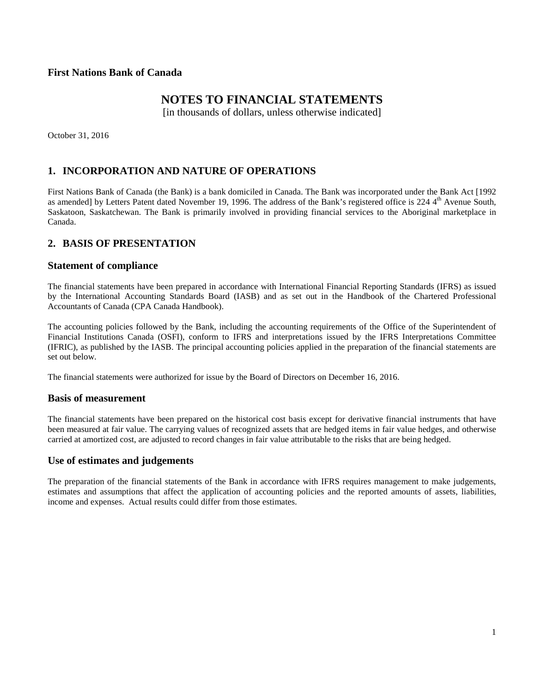[in thousands of dollars, unless otherwise indicated]

October 31, 2016

## **1. INCORPORATION AND NATURE OF OPERATIONS**

First Nations Bank of Canada (the Bank) is a bank domiciled in Canada. The Bank was incorporated under the Bank Act [1992 as amended] by Letters Patent dated November 19, 1996. The address of the Bank's registered office is 224 4<sup>th</sup> Avenue South, Saskatoon, Saskatchewan. The Bank is primarily involved in providing financial services to the Aboriginal marketplace in Canada.

### **2. BASIS OF PRESENTATION**

### **Statement of compliance**

The financial statements have been prepared in accordance with International Financial Reporting Standards (IFRS) as issued by the International Accounting Standards Board (IASB) and as set out in the Handbook of the Chartered Professional Accountants of Canada (CPA Canada Handbook).

The accounting policies followed by the Bank, including the accounting requirements of the Office of the Superintendent of Financial Institutions Canada (OSFI), conform to IFRS and interpretations issued by the IFRS Interpretations Committee (IFRIC), as published by the IASB. The principal accounting policies applied in the preparation of the financial statements are set out below.

The financial statements were authorized for issue by the Board of Directors on December 16, 2016.

### **Basis of measurement**

The financial statements have been prepared on the historical cost basis except for derivative financial instruments that have been measured at fair value. The carrying values of recognized assets that are hedged items in fair value hedges, and otherwise carried at amortized cost, are adjusted to record changes in fair value attributable to the risks that are being hedged.

### **Use of estimates and judgements**

The preparation of the financial statements of the Bank in accordance with IFRS requires management to make judgements, estimates and assumptions that affect the application of accounting policies and the reported amounts of assets, liabilities, income and expenses. Actual results could differ from those estimates.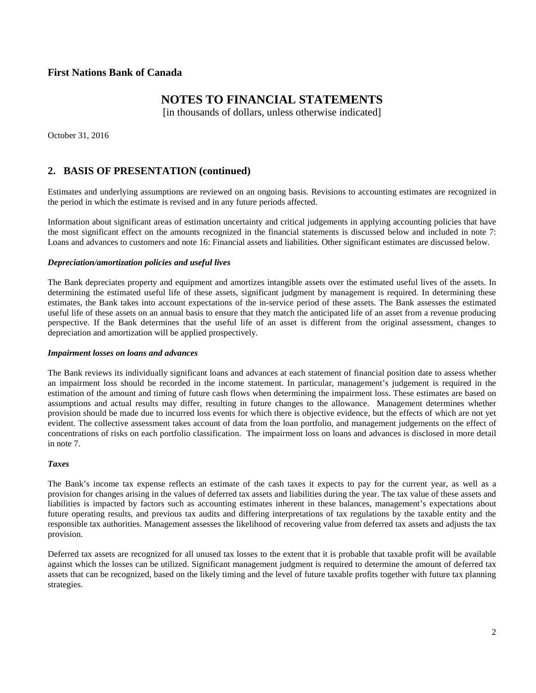[in thousands of dollars, unless otherwise indicated]

October 31, 2016

## **2. BASIS OF PRESENTATION (continued)**

Estimates and underlying assumptions are reviewed on an ongoing basis. Revisions to accounting estimates are recognized in the period in which the estimate is revised and in any future periods affected.

Information about significant areas of estimation uncertainty and critical judgements in applying accounting policies that have the most significant effect on the amounts recognized in the financial statements is discussed below and included in note 7: Loans and advances to customers and note 16: Financial assets and liabilities. Other significant estimates are discussed below.

#### *Depreciation/amortization policies and useful lives*

The Bank depreciates property and equipment and amortizes intangible assets over the estimated useful lives of the assets. In determining the estimated useful life of these assets, significant judgment by management is required. In determining these estimates, the Bank takes into account expectations of the in-service period of these assets. The Bank assesses the estimated useful life of these assets on an annual basis to ensure that they match the anticipated life of an asset from a revenue producing perspective. If the Bank determines that the useful life of an asset is different from the original assessment, changes to depreciation and amortization will be applied prospectively.

#### *Impairment losses on loans and advances*

The Bank reviews its individually significant loans and advances at each statement of financial position date to assess whether an impairment loss should be recorded in the income statement. In particular, management's judgement is required in the estimation of the amount and timing of future cash flows when determining the impairment loss. These estimates are based on assumptions and actual results may differ, resulting in future changes to the allowance. Management determines whether provision should be made due to incurred loss events for which there is objective evidence, but the effects of which are not yet evident. The collective assessment takes account of data from the loan portfolio, and management judgements on the effect of concentrations of risks on each portfolio classification. The impairment loss on loans and advances is disclosed in more detail in note 7.

#### *Taxes*

The Bank's income tax expense reflects an estimate of the cash taxes it expects to pay for the current year, as well as a provision for changes arising in the values of deferred tax assets and liabilities during the year. The tax value of these assets and liabilities is impacted by factors such as accounting estimates inherent in these balances, management's expectations about future operating results, and previous tax audits and differing interpretations of tax regulations by the taxable entity and the responsible tax authorities. Management assesses the likelihood of recovering value from deferred tax assets and adjusts the tax provision.

Deferred tax assets are recognized for all unused tax losses to the extent that it is probable that taxable profit will be available against which the losses can be utilized. Significant management judgment is required to determine the amount of deferred tax assets that can be recognized, based on the likely timing and the level of future taxable profits together with future tax planning strategies.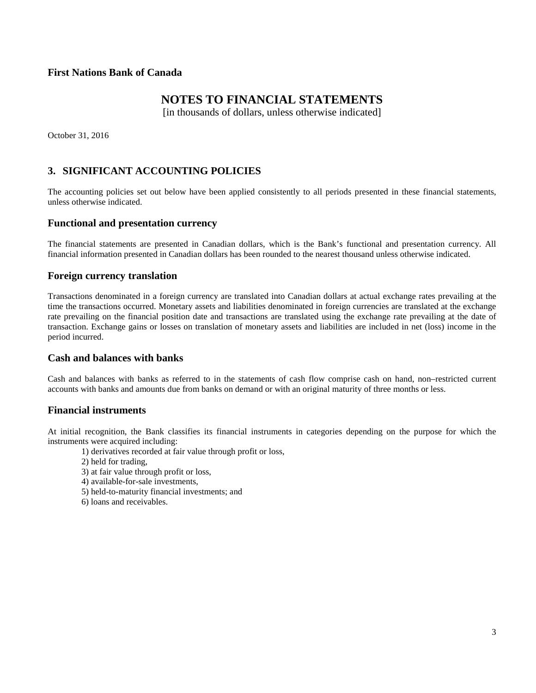# **NOTES TO FINANCIAL STATEMENTS**

[in thousands of dollars, unless otherwise indicated]

October 31, 2016

## **3. SIGNIFICANT ACCOUNTING POLICIES**

The accounting policies set out below have been applied consistently to all periods presented in these financial statements, unless otherwise indicated.

#### **Functional and presentation currency**

The financial statements are presented in Canadian dollars, which is the Bank's functional and presentation currency. All financial information presented in Canadian dollars has been rounded to the nearest thousand unless otherwise indicated.

#### **Foreign currency translation**

Transactions denominated in a foreign currency are translated into Canadian dollars at actual exchange rates prevailing at the time the transactions occurred. Monetary assets and liabilities denominated in foreign currencies are translated at the exchange rate prevailing on the financial position date and transactions are translated using the exchange rate prevailing at the date of transaction. Exchange gains or losses on translation of monetary assets and liabilities are included in net (loss) income in the period incurred.

#### **Cash and balances with banks**

Cash and balances with banks as referred to in the statements of cash flow comprise cash on hand, non–restricted current accounts with banks and amounts due from banks on demand or with an original maturity of three months or less.

### **Financial instruments**

At initial recognition, the Bank classifies its financial instruments in categories depending on the purpose for which the instruments were acquired including:

- 1) derivatives recorded at fair value through profit or loss,
- 2) held for trading,
- 3) at fair value through profit or loss,
- 4) available-for-sale investments,
- 5) held-to-maturity financial investments; and
- 6) loans and receivables.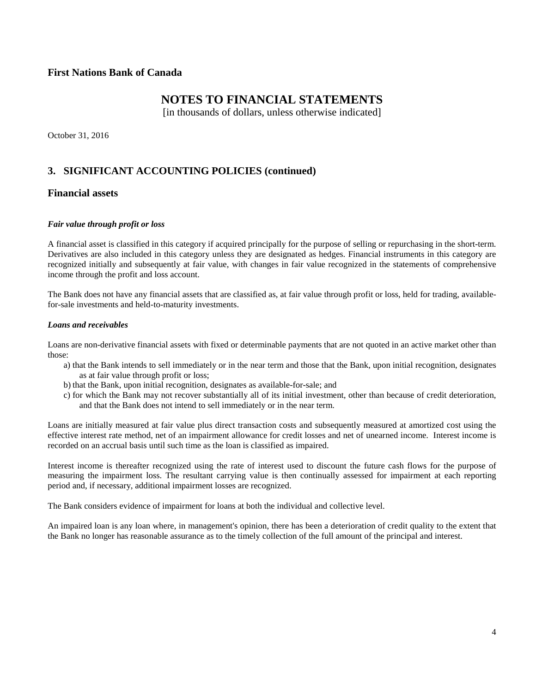# **NOTES TO FINANCIAL STATEMENTS**

[in thousands of dollars, unless otherwise indicated]

October 31, 2016

## **3. SIGNIFICANT ACCOUNTING POLICIES (continued)**

#### **Financial assets**

#### *Fair value through profit or loss*

A financial asset is classified in this category if acquired principally for the purpose of selling or repurchasing in the short-term. Derivatives are also included in this category unless they are designated as hedges. Financial instruments in this category are recognized initially and subsequently at fair value, with changes in fair value recognized in the statements of comprehensive income through the profit and loss account.

The Bank does not have any financial assets that are classified as, at fair value through profit or loss, held for trading, availablefor-sale investments and held-to-maturity investments.

#### *Loans and receivables*

Loans are non-derivative financial assets with fixed or determinable payments that are not quoted in an active market other than those:

- a) that the Bank intends to sell immediately or in the near term and those that the Bank, upon initial recognition, designates as at fair value through profit or loss;
- b) that the Bank, upon initial recognition, designates as available-for-sale; and
- c) for which the Bank may not recover substantially all of its initial investment, other than because of credit deterioration, and that the Bank does not intend to sell immediately or in the near term.

Loans are initially measured at fair value plus direct transaction costs and subsequently measured at amortized cost using the effective interest rate method, net of an impairment allowance for credit losses and net of unearned income. Interest income is recorded on an accrual basis until such time as the loan is classified as impaired.

Interest income is thereafter recognized using the rate of interest used to discount the future cash flows for the purpose of measuring the impairment loss. The resultant carrying value is then continually assessed for impairment at each reporting period and, if necessary, additional impairment losses are recognized.

The Bank considers evidence of impairment for loans at both the individual and collective level.

An impaired loan is any loan where, in management's opinion, there has been a deterioration of credit quality to the extent that the Bank no longer has reasonable assurance as to the timely collection of the full amount of the principal and interest.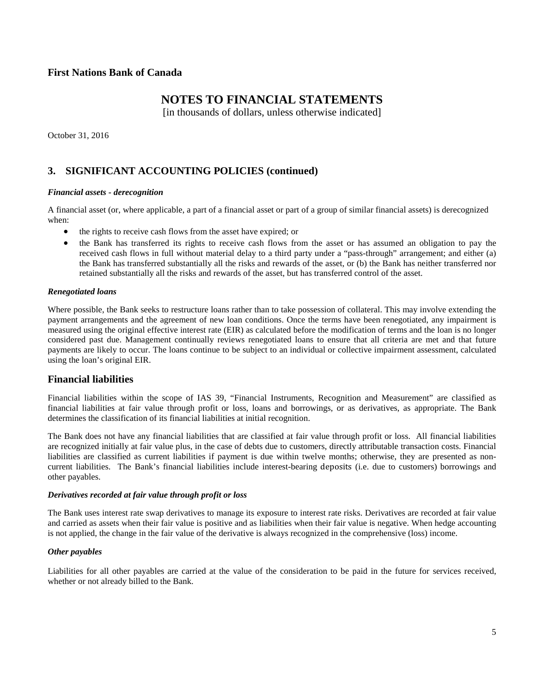[in thousands of dollars, unless otherwise indicated]

October 31, 2016

## **3. SIGNIFICANT ACCOUNTING POLICIES (continued)**

#### *Financial assets - derecognition*

A financial asset (or, where applicable, a part of a financial asset or part of a group of similar financial assets) is derecognized when:

- the rights to receive cash flows from the asset have expired; or
- the Bank has transferred its rights to receive cash flows from the asset or has assumed an obligation to pay the received cash flows in full without material delay to a third party under a "pass-through" arrangement; and either (a) the Bank has transferred substantially all the risks and rewards of the asset, or (b) the Bank has neither transferred nor retained substantially all the risks and rewards of the asset, but has transferred control of the asset.

#### *Renegotiated loans*

Where possible, the Bank seeks to restructure loans rather than to take possession of collateral. This may involve extending the payment arrangements and the agreement of new loan conditions. Once the terms have been renegotiated, any impairment is measured using the original effective interest rate (EIR) as calculated before the modification of terms and the loan is no longer considered past due. Management continually reviews renegotiated loans to ensure that all criteria are met and that future payments are likely to occur. The loans continue to be subject to an individual or collective impairment assessment, calculated using the loan's original EIR.

### **Financial liabilities**

Financial liabilities within the scope of IAS 39, "Financial Instruments, Recognition and Measurement" are classified as financial liabilities at fair value through profit or loss, loans and borrowings, or as derivatives, as appropriate. The Bank determines the classification of its financial liabilities at initial recognition.

The Bank does not have any financial liabilities that are classified at fair value through profit or loss. All financial liabilities are recognized initially at fair value plus, in the case of debts due to customers, directly attributable transaction costs. Financial liabilities are classified as current liabilities if payment is due within twelve months; otherwise, they are presented as noncurrent liabilities. The Bank's financial liabilities include interest-bearing deposits (i.e. due to customers) borrowings and other payables.

#### *Derivatives recorded at fair value through profit or loss*

The Bank uses interest rate swap derivatives to manage its exposure to interest rate risks. Derivatives are recorded at fair value and carried as assets when their fair value is positive and as liabilities when their fair value is negative. When hedge accounting is not applied, the change in the fair value of the derivative is always recognized in the comprehensive (loss) income.

#### *Other payables*

Liabilities for all other payables are carried at the value of the consideration to be paid in the future for services received, whether or not already billed to the Bank.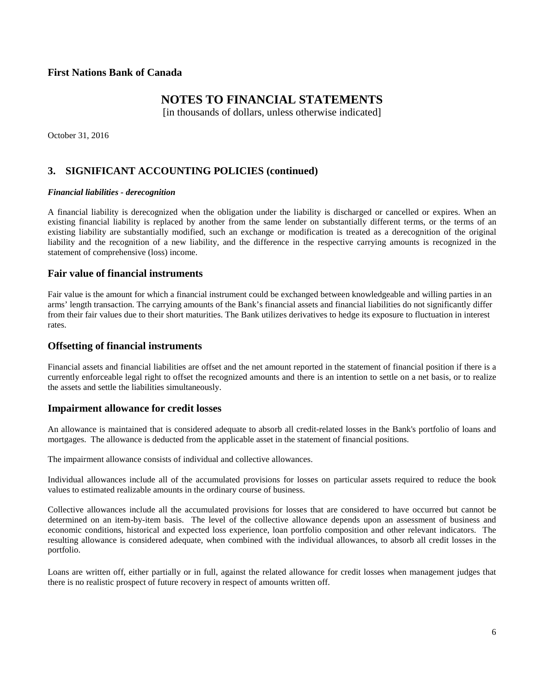[in thousands of dollars, unless otherwise indicated]

October 31, 2016

### **3. SIGNIFICANT ACCOUNTING POLICIES (continued)**

#### *Financial liabilities - derecognition*

A financial liability is derecognized when the obligation under the liability is discharged or cancelled or expires. When an existing financial liability is replaced by another from the same lender on substantially different terms, or the terms of an existing liability are substantially modified, such an exchange or modification is treated as a derecognition of the original liability and the recognition of a new liability, and the difference in the respective carrying amounts is recognized in the statement of comprehensive (loss) income.

#### **Fair value of financial instruments**

Fair value is the amount for which a financial instrument could be exchanged between knowledgeable and willing parties in an arms' length transaction. The carrying amounts of the Bank's financial assets and financial liabilities do not significantly differ from their fair values due to their short maturities. The Bank utilizes derivatives to hedge its exposure to fluctuation in interest rates.

#### **Offsetting of financial instruments**

Financial assets and financial liabilities are offset and the net amount reported in the statement of financial position if there is a currently enforceable legal right to offset the recognized amounts and there is an intention to settle on a net basis, or to realize the assets and settle the liabilities simultaneously.

### **Impairment allowance for credit losses**

An allowance is maintained that is considered adequate to absorb all credit-related losses in the Bank's portfolio of loans and mortgages. The allowance is deducted from the applicable asset in the statement of financial positions.

The impairment allowance consists of individual and collective allowances.

Individual allowances include all of the accumulated provisions for losses on particular assets required to reduce the book values to estimated realizable amounts in the ordinary course of business.

Collective allowances include all the accumulated provisions for losses that are considered to have occurred but cannot be determined on an item-by-item basis. The level of the collective allowance depends upon an assessment of business and economic conditions, historical and expected loss experience, loan portfolio composition and other relevant indicators. The resulting allowance is considered adequate, when combined with the individual allowances, to absorb all credit losses in the portfolio.

Loans are written off, either partially or in full, against the related allowance for credit losses when management judges that there is no realistic prospect of future recovery in respect of amounts written off.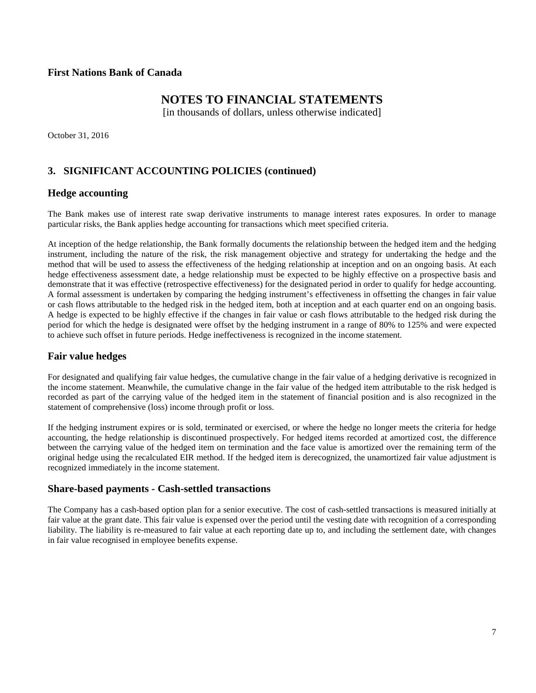[in thousands of dollars, unless otherwise indicated]

October 31, 2016

## **3. SIGNIFICANT ACCOUNTING POLICIES (continued)**

#### **Hedge accounting**

The Bank makes use of interest rate swap derivative instruments to manage interest rates exposures. In order to manage particular risks, the Bank applies hedge accounting for transactions which meet specified criteria.

At inception of the hedge relationship, the Bank formally documents the relationship between the hedged item and the hedging instrument, including the nature of the risk, the risk management objective and strategy for undertaking the hedge and the method that will be used to assess the effectiveness of the hedging relationship at inception and on an ongoing basis. At each hedge effectiveness assessment date, a hedge relationship must be expected to be highly effective on a prospective basis and demonstrate that it was effective (retrospective effectiveness) for the designated period in order to qualify for hedge accounting. A formal assessment is undertaken by comparing the hedging instrument's effectiveness in offsetting the changes in fair value or cash flows attributable to the hedged risk in the hedged item, both at inception and at each quarter end on an ongoing basis. A hedge is expected to be highly effective if the changes in fair value or cash flows attributable to the hedged risk during the period for which the hedge is designated were offset by the hedging instrument in a range of 80% to 125% and were expected to achieve such offset in future periods. Hedge ineffectiveness is recognized in the income statement.

### **Fair value hedges**

For designated and qualifying fair value hedges, the cumulative change in the fair value of a hedging derivative is recognized in the income statement. Meanwhile, the cumulative change in the fair value of the hedged item attributable to the risk hedged is recorded as part of the carrying value of the hedged item in the statement of financial position and is also recognized in the statement of comprehensive (loss) income through profit or loss.

If the hedging instrument expires or is sold, terminated or exercised, or where the hedge no longer meets the criteria for hedge accounting, the hedge relationship is discontinued prospectively. For hedged items recorded at amortized cost, the difference between the carrying value of the hedged item on termination and the face value is amortized over the remaining term of the original hedge using the recalculated EIR method. If the hedged item is derecognized, the unamortized fair value adjustment is recognized immediately in the income statement.

### **Share-based payments - Cash-settled transactions**

The Company has a cash-based option plan for a senior executive. The cost of cash-settled transactions is measured initially at fair value at the grant date. This fair value is expensed over the period until the vesting date with recognition of a corresponding liability. The liability is re-measured to fair value at each reporting date up to, and including the settlement date, with changes in fair value recognised in employee benefits expense.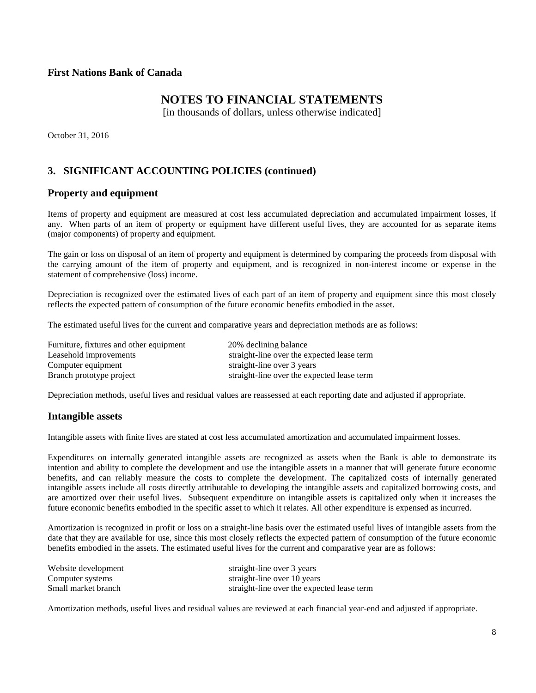# **NOTES TO FINANCIAL STATEMENTS**

[in thousands of dollars, unless otherwise indicated]

October 31, 2016

## **3. SIGNIFICANT ACCOUNTING POLICIES (continued)**

#### **Property and equipment**

Items of property and equipment are measured at cost less accumulated depreciation and accumulated impairment losses, if any. When parts of an item of property or equipment have different useful lives, they are accounted for as separate items (major components) of property and equipment.

The gain or loss on disposal of an item of property and equipment is determined by comparing the proceeds from disposal with the carrying amount of the item of property and equipment, and is recognized in non-interest income or expense in the statement of comprehensive (loss) income.

Depreciation is recognized over the estimated lives of each part of an item of property and equipment since this most closely reflects the expected pattern of consumption of the future economic benefits embodied in the asset.

The estimated useful lives for the current and comparative years and depreciation methods are as follows:

| Furniture, fixtures and other equipment | 20% declining balance                      |
|-----------------------------------------|--------------------------------------------|
| Leasehold improvements                  | straight-line over the expected lease term |
| Computer equipment                      | straight-line over 3 years                 |
| Branch prototype project                | straight-line over the expected lease term |

Depreciation methods, useful lives and residual values are reassessed at each reporting date and adjusted if appropriate.

### **Intangible assets**

Intangible assets with finite lives are stated at cost less accumulated amortization and accumulated impairment losses.

Expenditures on internally generated intangible assets are recognized as assets when the Bank is able to demonstrate its intention and ability to complete the development and use the intangible assets in a manner that will generate future economic benefits, and can reliably measure the costs to complete the development. The capitalized costs of internally generated intangible assets include all costs directly attributable to developing the intangible assets and capitalized borrowing costs, and are amortized over their useful lives. Subsequent expenditure on intangible assets is capitalized only when it increases the future economic benefits embodied in the specific asset to which it relates. All other expenditure is expensed as incurred.

Amortization is recognized in profit or loss on a straight-line basis over the estimated useful lives of intangible assets from the date that they are available for use, since this most closely reflects the expected pattern of consumption of the future economic benefits embodied in the assets. The estimated useful lives for the current and comparative year are as follows:

| Website development | straight-line over 3 years                 |
|---------------------|--------------------------------------------|
| Computer systems    | straight-line over 10 years                |
| Small market branch | straight-line over the expected lease term |

Amortization methods, useful lives and residual values are reviewed at each financial year-end and adjusted if appropriate.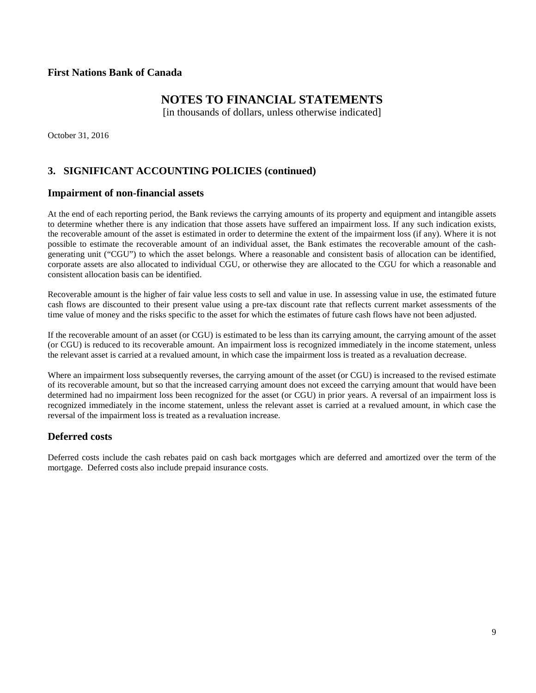[in thousands of dollars, unless otherwise indicated]

October 31, 2016

## **3. SIGNIFICANT ACCOUNTING POLICIES (continued)**

### **Impairment of non-financial assets**

At the end of each reporting period, the Bank reviews the carrying amounts of its property and equipment and intangible assets to determine whether there is any indication that those assets have suffered an impairment loss. If any such indication exists, the recoverable amount of the asset is estimated in order to determine the extent of the impairment loss (if any). Where it is not possible to estimate the recoverable amount of an individual asset, the Bank estimates the recoverable amount of the cashgenerating unit ("CGU") to which the asset belongs. Where a reasonable and consistent basis of allocation can be identified, corporate assets are also allocated to individual CGU, or otherwise they are allocated to the CGU for which a reasonable and consistent allocation basis can be identified.

Recoverable amount is the higher of fair value less costs to sell and value in use. In assessing value in use, the estimated future cash flows are discounted to their present value using a pre-tax discount rate that reflects current market assessments of the time value of money and the risks specific to the asset for which the estimates of future cash flows have not been adjusted.

If the recoverable amount of an asset (or CGU) is estimated to be less than its carrying amount, the carrying amount of the asset (or CGU) is reduced to its recoverable amount. An impairment loss is recognized immediately in the income statement, unless the relevant asset is carried at a revalued amount, in which case the impairment loss is treated as a revaluation decrease.

Where an impairment loss subsequently reverses, the carrying amount of the asset (or CGU) is increased to the revised estimate of its recoverable amount, but so that the increased carrying amount does not exceed the carrying amount that would have been determined had no impairment loss been recognized for the asset (or CGU) in prior years. A reversal of an impairment loss is recognized immediately in the income statement, unless the relevant asset is carried at a revalued amount, in which case the reversal of the impairment loss is treated as a revaluation increase.

### **Deferred costs**

Deferred costs include the cash rebates paid on cash back mortgages which are deferred and amortized over the term of the mortgage. Deferred costs also include prepaid insurance costs.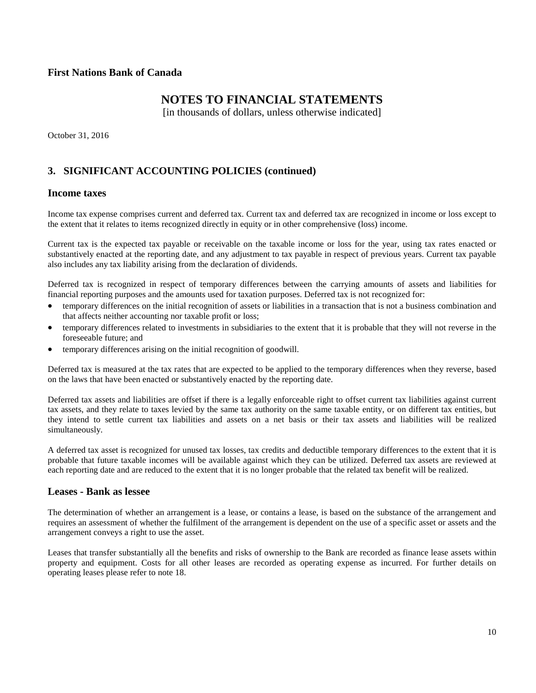# **NOTES TO FINANCIAL STATEMENTS**

[in thousands of dollars, unless otherwise indicated]

October 31, 2016

## **3. SIGNIFICANT ACCOUNTING POLICIES (continued)**

#### **Income taxes**

Income tax expense comprises current and deferred tax. Current tax and deferred tax are recognized in income or loss except to the extent that it relates to items recognized directly in equity or in other comprehensive (loss) income.

Current tax is the expected tax payable or receivable on the taxable income or loss for the year, using tax rates enacted or substantively enacted at the reporting date, and any adjustment to tax payable in respect of previous years. Current tax payable also includes any tax liability arising from the declaration of dividends.

Deferred tax is recognized in respect of temporary differences between the carrying amounts of assets and liabilities for financial reporting purposes and the amounts used for taxation purposes. Deferred tax is not recognized for:

- temporary differences on the initial recognition of assets or liabilities in a transaction that is not a business combination and that affects neither accounting nor taxable profit or loss;
- temporary differences related to investments in subsidiaries to the extent that it is probable that they will not reverse in the foreseeable future; and
- temporary differences arising on the initial recognition of goodwill.

Deferred tax is measured at the tax rates that are expected to be applied to the temporary differences when they reverse, based on the laws that have been enacted or substantively enacted by the reporting date.

Deferred tax assets and liabilities are offset if there is a legally enforceable right to offset current tax liabilities against current tax assets, and they relate to taxes levied by the same tax authority on the same taxable entity, or on different tax entities, but they intend to settle current tax liabilities and assets on a net basis or their tax assets and liabilities will be realized simultaneously.

A deferred tax asset is recognized for unused tax losses, tax credits and deductible temporary differences to the extent that it is probable that future taxable incomes will be available against which they can be utilized. Deferred tax assets are reviewed at each reporting date and are reduced to the extent that it is no longer probable that the related tax benefit will be realized.

#### **Leases - Bank as lessee**

The determination of whether an arrangement is a lease, or contains a lease, is based on the substance of the arrangement and requires an assessment of whether the fulfilment of the arrangement is dependent on the use of a specific asset or assets and the arrangement conveys a right to use the asset.

Leases that transfer substantially all the benefits and risks of ownership to the Bank are recorded as finance lease assets within property and equipment. Costs for all other leases are recorded as operating expense as incurred. For further details on operating leases please refer to note 18.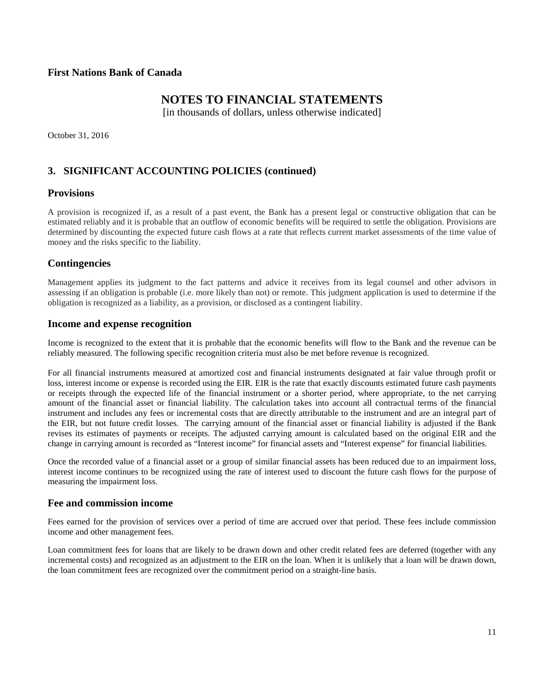[in thousands of dollars, unless otherwise indicated]

October 31, 2016

## **3. SIGNIFICANT ACCOUNTING POLICIES (continued)**

#### **Provisions**

A provision is recognized if, as a result of a past event, the Bank has a present legal or constructive obligation that can be estimated reliably and it is probable that an outflow of economic benefits will be required to settle the obligation. Provisions are determined by discounting the expected future cash flows at a rate that reflects current market assessments of the time value of money and the risks specific to the liability.

### **Contingencies**

Management applies its judgment to the fact patterns and advice it receives from its legal counsel and other advisors in assessing if an obligation is probable (i.e. more likely than not) or remote. This judgment application is used to determine if the obligation is recognized as a liability, as a provision, or disclosed as a contingent liability.

#### **Income and expense recognition**

Income is recognized to the extent that it is probable that the economic benefits will flow to the Bank and the revenue can be reliably measured. The following specific recognition criteria must also be met before revenue is recognized.

For all financial instruments measured at amortized cost and financial instruments designated at fair value through profit or loss, interest income or expense is recorded using the EIR. EIR is the rate that exactly discounts estimated future cash payments or receipts through the expected life of the financial instrument or a shorter period, where appropriate, to the net carrying amount of the financial asset or financial liability. The calculation takes into account all contractual terms of the financial instrument and includes any fees or incremental costs that are directly attributable to the instrument and are an integral part of the EIR, but not future credit losses. The carrying amount of the financial asset or financial liability is adjusted if the Bank revises its estimates of payments or receipts. The adjusted carrying amount is calculated based on the original EIR and the change in carrying amount is recorded as "Interest income" for financial assets and "Interest expense" for financial liabilities.

Once the recorded value of a financial asset or a group of similar financial assets has been reduced due to an impairment loss, interest income continues to be recognized using the rate of interest used to discount the future cash flows for the purpose of measuring the impairment loss.

### **Fee and commission income**

Fees earned for the provision of services over a period of time are accrued over that period. These fees include commission income and other management fees.

Loan commitment fees for loans that are likely to be drawn down and other credit related fees are deferred (together with any incremental costs) and recognized as an adjustment to the EIR on the loan. When it is unlikely that a loan will be drawn down, the loan commitment fees are recognized over the commitment period on a straight-line basis.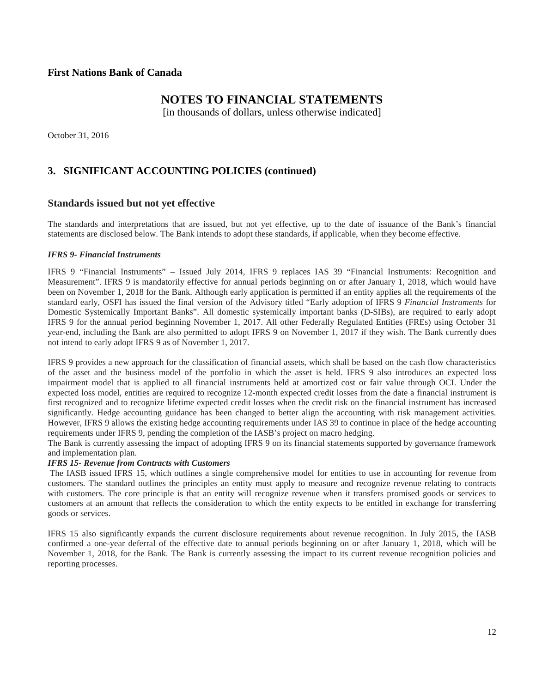# **NOTES TO FINANCIAL STATEMENTS**

[in thousands of dollars, unless otherwise indicated]

October 31, 2016

## **3. SIGNIFICANT ACCOUNTING POLICIES (continued)**

#### **Standards issued but not yet effective**

The standards and interpretations that are issued, but not yet effective, up to the date of issuance of the Bank's financial statements are disclosed below. The Bank intends to adopt these standards, if applicable, when they become effective.

#### *IFRS 9- Financial Instruments*

IFRS 9 "Financial Instruments" – Issued July 2014, IFRS 9 replaces IAS 39 "Financial Instruments: Recognition and Measurement". IFRS 9 is mandatorily effective for annual periods beginning on or after January 1, 2018, which would have been on November 1, 2018 for the Bank. Although early application is permitted if an entity applies all the requirements of the standard early, OSFI has issued the final version of the Advisory titled "Early adoption of IFRS 9 *Financial Instruments* for Domestic Systemically Important Banks". All domestic systemically important banks (D-SIBs), are required to early adopt IFRS 9 for the annual period beginning November 1, 2017. All other Federally Regulated Entities (FREs) using October 31 year-end, including the Bank are also permitted to adopt IFRS 9 on November 1, 2017 if they wish. The Bank currently does not intend to early adopt IFRS 9 as of November 1, 2017.

IFRS 9 provides a new approach for the classification of financial assets, which shall be based on the cash flow characteristics of the asset and the business model of the portfolio in which the asset is held. IFRS 9 also introduces an expected loss impairment model that is applied to all financial instruments held at amortized cost or fair value through OCI. Under the expected loss model, entities are required to recognize 12-month expected credit losses from the date a financial instrument is first recognized and to recognize lifetime expected credit losses when the credit risk on the financial instrument has increased significantly. Hedge accounting guidance has been changed to better align the accounting with risk management activities. However, IFRS 9 allows the existing hedge accounting requirements under IAS 39 to continue in place of the hedge accounting requirements under IFRS 9, pending the completion of the IASB's project on macro hedging.

The Bank is currently assessing the impact of adopting IFRS 9 on its financial statements supported by governance framework and implementation plan.

#### *IFRS 15- Revenue from Contracts with Customers*

The IASB issued IFRS 15, which outlines a single comprehensive model for entities to use in accounting for revenue from customers. The standard outlines the principles an entity must apply to measure and recognize revenue relating to contracts with customers. The core principle is that an entity will recognize revenue when it transfers promised goods or services to customers at an amount that reflects the consideration to which the entity expects to be entitled in exchange for transferring goods or services.

IFRS 15 also significantly expands the current disclosure requirements about revenue recognition. In July 2015, the IASB confirmed a one-year deferral of the effective date to annual periods beginning on or after January 1, 2018, which will be November 1, 2018, for the Bank. The Bank is currently assessing the impact to its current revenue recognition policies and reporting processes.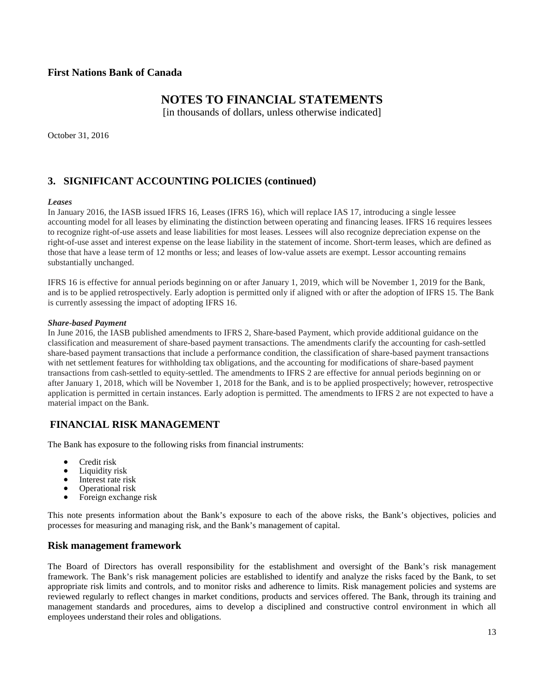[in thousands of dollars, unless otherwise indicated]

October 31, 2016

## **3. SIGNIFICANT ACCOUNTING POLICIES (continued)**

#### *Leases*

In January 2016, the IASB issued IFRS 16, Leases (IFRS 16), which will replace IAS 17, introducing a single lessee accounting model for all leases by eliminating the distinction between operating and financing leases. IFRS 16 requires lessees to recognize right-of-use assets and lease liabilities for most leases. Lessees will also recognize depreciation expense on the right-of-use asset and interest expense on the lease liability in the statement of income. Short-term leases, which are defined as those that have a lease term of 12 months or less; and leases of low-value assets are exempt. Lessor accounting remains substantially unchanged.

IFRS 16 is effective for annual periods beginning on or after January 1, 2019, which will be November 1, 2019 for the Bank, and is to be applied retrospectively. Early adoption is permitted only if aligned with or after the adoption of IFRS 15. The Bank is currently assessing the impact of adopting IFRS 16.

#### *Share-based Payment*

In June 2016, the IASB published amendments to IFRS 2, Share-based Payment, which provide additional guidance on the classification and measurement of share-based payment transactions. The amendments clarify the accounting for cash-settled share-based payment transactions that include a performance condition, the classification of share-based payment transactions with net settlement features for withholding tax obligations, and the accounting for modifications of share-based payment transactions from cash-settled to equity-settled. The amendments to IFRS 2 are effective for annual periods beginning on or after January 1, 2018, which will be November 1, 2018 for the Bank, and is to be applied prospectively; however, retrospective application is permitted in certain instances. Early adoption is permitted. The amendments to IFRS 2 are not expected to have a material impact on the Bank.

### **FINANCIAL RISK MANAGEMENT**

The Bank has exposure to the following risks from financial instruments:

- 
- Credit risk<br>• Liquidity r • Liquidity risk<br>• Interest rate ri
- 
- Interest rate risk<br>• Operational risk
- Foreign exchange risk

This note presents information about the Bank's exposure to each of the above risks, the Bank's objectives, policies and processes for measuring and managing risk, and the Bank's management of capital.

### **Risk management framework**

The Board of Directors has overall responsibility for the establishment and oversight of the Bank's risk management framework. The Bank's risk management policies are established to identify and analyze the risks faced by the Bank, to set appropriate risk limits and controls, and to monitor risks and adherence to limits. Risk management policies and systems are reviewed regularly to reflect changes in market conditions, products and services offered. The Bank, through its training and management standards and procedures, aims to develop a disciplined and constructive control environment in which all employees understand their roles and obligations.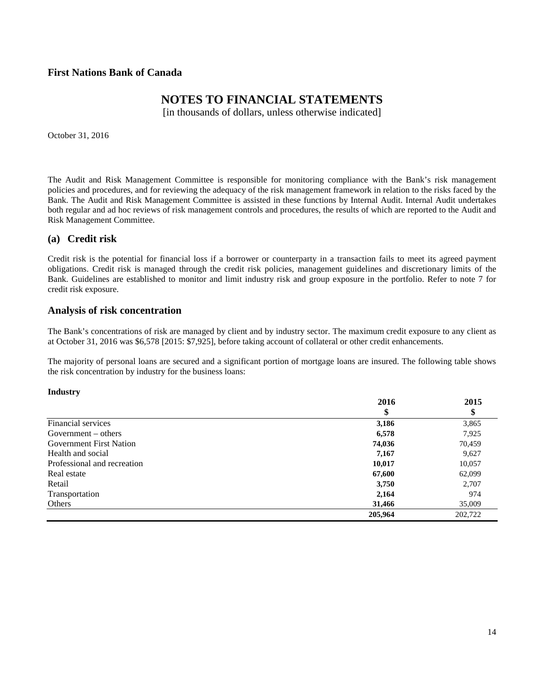# **NOTES TO FINANCIAL STATEMENTS**

[in thousands of dollars, unless otherwise indicated]

October 31, 2016

The Audit and Risk Management Committee is responsible for monitoring compliance with the Bank's risk management policies and procedures, and for reviewing the adequacy of the risk management framework in relation to the risks faced by the Bank. The Audit and Risk Management Committee is assisted in these functions by Internal Audit. Internal Audit undertakes both regular and ad hoc reviews of risk management controls and procedures, the results of which are reported to the Audit and Risk Management Committee.

### **(a) Credit risk**

Credit risk is the potential for financial loss if a borrower or counterparty in a transaction fails to meet its agreed payment obligations. Credit risk is managed through the credit risk policies, management guidelines and discretionary limits of the Bank. Guidelines are established to monitor and limit industry risk and group exposure in the portfolio. Refer to note 7 for credit risk exposure.

### **Analysis of risk concentration**

The Bank's concentrations of risk are managed by client and by industry sector. The maximum credit exposure to any client as at October 31, 2016 was \$6,578 [2015: \$7,925], before taking account of collateral or other credit enhancements.

The majority of personal loans are secured and a significant portion of mortgage loans are insured. The following table shows the risk concentration by industry for the business loans:

#### **Industry**

|                                | 2016    | 2015    |
|--------------------------------|---------|---------|
|                                | \$      | \$      |
| Financial services             | 3,186   | 3,865   |
| $Government - others$          | 6,578   | 7,925   |
| <b>Government First Nation</b> | 74,036  | 70,459  |
| Health and social              | 7,167   | 9.627   |
| Professional and recreation    | 10,017  | 10,057  |
| Real estate                    | 67,600  | 62,099  |
| Retail                         | 3,750   | 2,707   |
| Transportation                 | 2,164   | 974     |
| Others                         | 31,466  | 35,009  |
|                                | 205,964 | 202,722 |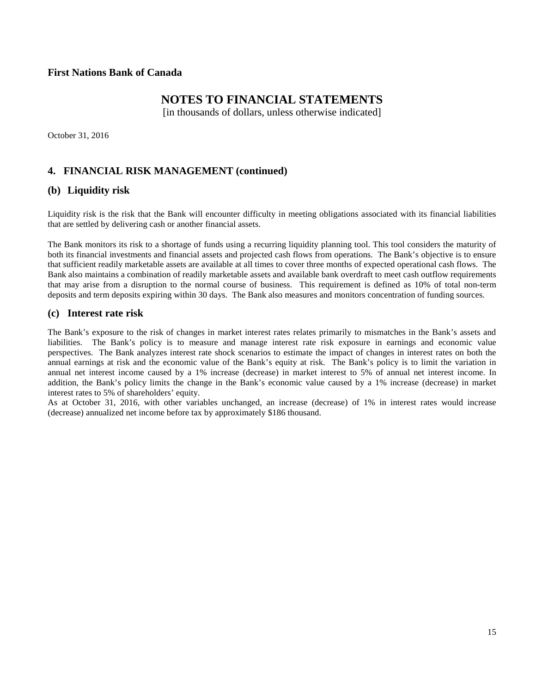[in thousands of dollars, unless otherwise indicated]

October 31, 2016

## **4. FINANCIAL RISK MANAGEMENT (continued)**

### **(b) Liquidity risk**

Liquidity risk is the risk that the Bank will encounter difficulty in meeting obligations associated with its financial liabilities that are settled by delivering cash or another financial assets.

The Bank monitors its risk to a shortage of funds using a recurring liquidity planning tool. This tool considers the maturity of both its financial investments and financial assets and projected cash flows from operations. The Bank's objective is to ensure that sufficient readily marketable assets are available at all times to cover three months of expected operational cash flows. The Bank also maintains a combination of readily marketable assets and available bank overdraft to meet cash outflow requirements that may arise from a disruption to the normal course of business. This requirement is defined as 10% of total non-term deposits and term deposits expiring within 30 days. The Bank also measures and monitors concentration of funding sources.

#### **(c) Interest rate risk**

The Bank's exposure to the risk of changes in market interest rates relates primarily to mismatches in the Bank's assets and liabilities. The Bank's policy is to measure and manage interest rate risk exposure in earnings and economic value perspectives. The Bank analyzes interest rate shock scenarios to estimate the impact of changes in interest rates on both the annual earnings at risk and the economic value of the Bank's equity at risk. The Bank's policy is to limit the variation in annual net interest income caused by a 1% increase (decrease) in market interest to 5% of annual net interest income. In addition, the Bank's policy limits the change in the Bank's economic value caused by a 1% increase (decrease) in market interest rates to 5% of shareholders' equity.

As at October 31, 2016, with other variables unchanged, an increase (decrease) of 1% in interest rates would increase (decrease) annualized net income before tax by approximately \$186 thousand.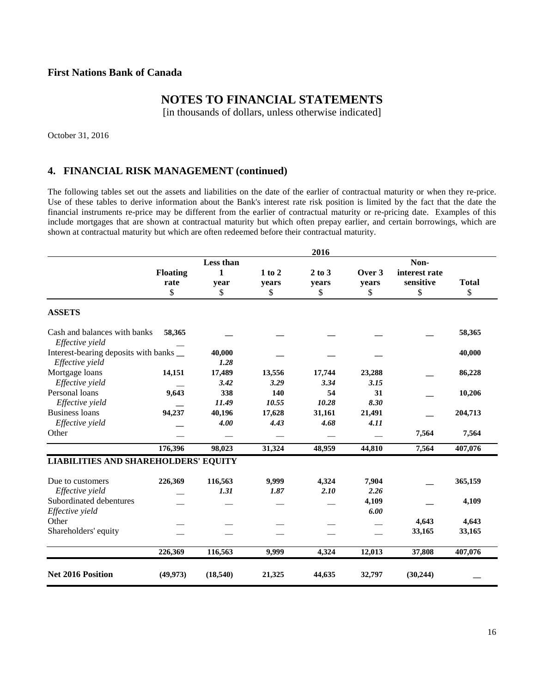[in thousands of dollars, unless otherwise indicated]

October 31, 2016

### **4. FINANCIAL RISK MANAGEMENT (continued)**

The following tables set out the assets and liabilities on the date of the earlier of contractual maturity or when they re-price. Use of these tables to derive information about the Bank's interest rate risk position is limited by the fact that the date the financial instruments re-price may be different from the earlier of contractual maturity or re-pricing date. Examples of this include mortgages that are shown at contractual maturity but which often prepay earlier, and certain borrowings, which are shown at contractual maturity but which are often redeemed before their contractual maturity.

|                                                            |                 |                  |        | 2016       |        |               |              |
|------------------------------------------------------------|-----------------|------------------|--------|------------|--------|---------------|--------------|
|                                                            |                 | <b>Less than</b> |        |            |        | Non-          |              |
|                                                            | <b>Floating</b> | 1                | 1 to 2 | $2$ to $3$ | Over 3 | interest rate |              |
|                                                            | rate            | year             | years  | years      | years  | sensitive     | <b>Total</b> |
|                                                            | \$              | \$               | \$     | \$         | \$     | \$            | \$           |
| <b>ASSETS</b>                                              |                 |                  |        |            |        |               |              |
| Cash and balances with banks<br>Effective yield            | 58,365          |                  |        |            |        |               | 58,365       |
| Interest-bearing deposits with banks __<br>Effective yield |                 | 40,000<br>1.28   |        |            |        |               | 40,000       |
| Mortgage loans                                             | 14,151          | 17,489           | 13,556 | 17,744     | 23,288 |               | 86,228       |
| Effective yield                                            |                 | 3.42             | 3.29   | 3.34       | 3.15   |               |              |
| Personal loans                                             | 9,643           | 338              | 140    | 54         | 31     |               | 10,206       |
| Effective yield                                            |                 | 11.49            | 10.55  | 10.28      | 8.30   |               |              |
| <b>Business loans</b>                                      | 94,237          | 40,196           | 17,628 | 31,161     | 21,491 |               | 204,713      |
| Effective yield                                            |                 | 4.00             | 4.43   | 4.68       | 4.11   |               |              |
| Other                                                      |                 |                  |        |            |        | 7,564         | 7,564        |
|                                                            | 176,396         | 98,023           | 31,324 | 48,959     | 44,810 | 7,564         | 407,076      |
| <b>LIABILITIES AND SHAREHOLDERS' EQUITY</b>                |                 |                  |        |            |        |               |              |
| Due to customers                                           | 226,369         | 116,563          | 9,999  | 4,324      | 7,904  |               | 365,159      |
| Effective yield                                            |                 | 1.31             | 1.87   | 2.10       | 2.26   |               |              |
| Subordinated debentures                                    |                 |                  |        |            | 4,109  |               | 4,109        |
| Effective yield                                            |                 |                  |        |            | 6.00   |               |              |
| Other                                                      |                 |                  |        |            |        | 4,643         | 4,643        |
| Shareholders' equity                                       |                 |                  |        |            |        | 33,165        | 33,165       |
|                                                            | 226,369         | 116,563          | 9,999  | 4,324      | 12,013 | 37,808        | 407,076      |
| <b>Net 2016 Position</b>                                   | (49, 973)       | (18,540)         | 21,325 | 44,635     | 32,797 | (30, 244)     |              |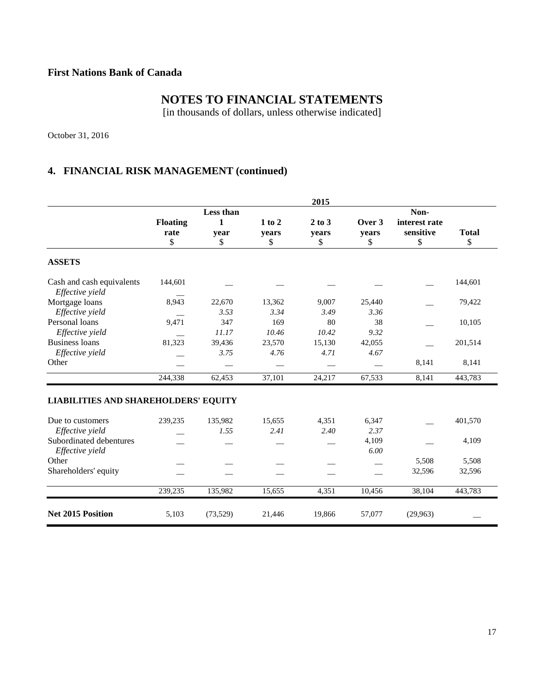# **NOTES TO FINANCIAL STATEMENTS**

[in thousands of dollars, unless otherwise indicated]

October 31, 2016

## **4. FINANCIAL RISK MANAGEMENT (continued)**

|                                              |                 |           |        | 2015       |               |               |              |
|----------------------------------------------|-----------------|-----------|--------|------------|---------------|---------------|--------------|
|                                              |                 | Less than |        |            |               | Non-          |              |
|                                              | <b>Floating</b> | 1         | 1 to 2 | $2$ to $3$ | Over 3        | interest rate |              |
|                                              | rate            | year      | years  | years      | years         | sensitive     | <b>Total</b> |
|                                              | \$              | \$        | \$     | \$         | \$            | \$            | \$           |
| <b>ASSETS</b>                                |                 |           |        |            |               |               |              |
| Cash and cash equivalents<br>Effective yield | 144,601         |           |        |            |               |               | 144,601      |
| Mortgage loans                               | 8,943           | 22,670    | 13,362 | 9,007      | 25,440        |               | 79,422       |
| Effective yield                              |                 | 3.53      | 3.34   | 3.49       | 3.36          |               |              |
| Personal loans                               | 9,471           | 347       | 169    | 80         | 38            |               | 10,105       |
| Effective yield                              |                 | 11.17     | 10.46  | 10.42      | 9.32          |               |              |
| <b>Business loans</b>                        | 81,323          | 39,436    | 23,570 | 15,130     | 42,055        |               | 201,514      |
| Effective yield                              |                 | 3.75      | 4.76   | 4.71       | 4.67          |               |              |
| Other                                        |                 |           |        |            |               | 8,141         | 8,141        |
|                                              | 244,338         | 62,453    | 37,101 | 24,217     | 67,533        | 8,141         | 443,783      |
| <b>LIABILITIES AND SHAREHOLDERS' EQUITY</b>  |                 |           |        |            |               |               |              |
| Due to customers                             | 239,235         | 135,982   | 15,655 | 4,351      | 6,347         |               | 401,570      |
| Effective yield                              |                 | 1.55      | 2.41   | 2.40       | 2.37          |               |              |
| Subordinated debentures<br>Effective yield   |                 |           |        |            | 4,109<br>6.00 |               | 4,109        |
| Other                                        |                 |           |        |            |               | 5,508         | 5,508        |
| Shareholders' equity                         |                 |           |        |            |               | 32,596        | 32,596       |
|                                              | 239,235         | 135,982   | 15,655 | 4,351      | 10,456        | 38,104        | 443,783      |
| Net 2015 Position                            | 5,103           | (73,529)  | 21,446 | 19,866     | 57,077        | (29,963)      |              |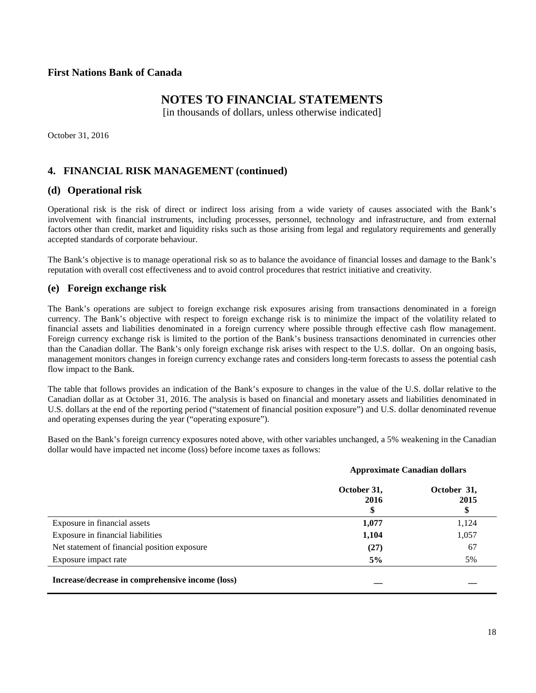[in thousands of dollars, unless otherwise indicated]

October 31, 2016

## **4. FINANCIAL RISK MANAGEMENT (continued)**

### **(d) Operational risk**

Operational risk is the risk of direct or indirect loss arising from a wide variety of causes associated with the Bank's involvement with financial instruments, including processes, personnel, technology and infrastructure, and from external factors other than credit, market and liquidity risks such as those arising from legal and regulatory requirements and generally accepted standards of corporate behaviour.

The Bank's objective is to manage operational risk so as to balance the avoidance of financial losses and damage to the Bank's reputation with overall cost effectiveness and to avoid control procedures that restrict initiative and creativity.

### **(e) Foreign exchange risk**

The Bank's operations are subject to foreign exchange risk exposures arising from transactions denominated in a foreign currency. The Bank's objective with respect to foreign exchange risk is to minimize the impact of the volatility related to financial assets and liabilities denominated in a foreign currency where possible through effective cash flow management. Foreign currency exchange risk is limited to the portion of the Bank's business transactions denominated in currencies other than the Canadian dollar. The Bank's only foreign exchange risk arises with respect to the U.S. dollar. On an ongoing basis, management monitors changes in foreign currency exchange rates and considers long-term forecasts to assess the potential cash flow impact to the Bank.

The table that follows provides an indication of the Bank's exposure to changes in the value of the U.S. dollar relative to the Canadian dollar as at October 31, 2016. The analysis is based on financial and monetary assets and liabilities denominated in U.S. dollars at the end of the reporting period ("statement of financial position exposure") and U.S. dollar denominated revenue and operating expenses during the year ("operating exposure").

Based on the Bank's foreign currency exposures noted above, with other variables unchanged, a 5% weakening in the Canadian dollar would have impacted net income (loss) before income taxes as follows:

|                                                  | <b>Approximate Canadian dollars</b> |                           |  |
|--------------------------------------------------|-------------------------------------|---------------------------|--|
|                                                  | October 31,<br>2016<br>\$           | October 31,<br>2015<br>\$ |  |
| Exposure in financial assets                     | 1,077                               | 1,124                     |  |
| Exposure in financial liabilities                | 1,104                               | 1,057                     |  |
| Net statement of financial position exposure     | (27)                                | 67                        |  |
| Exposure impact rate                             | 5%                                  | 5%                        |  |
| Increase/decrease in comprehensive income (loss) |                                     |                           |  |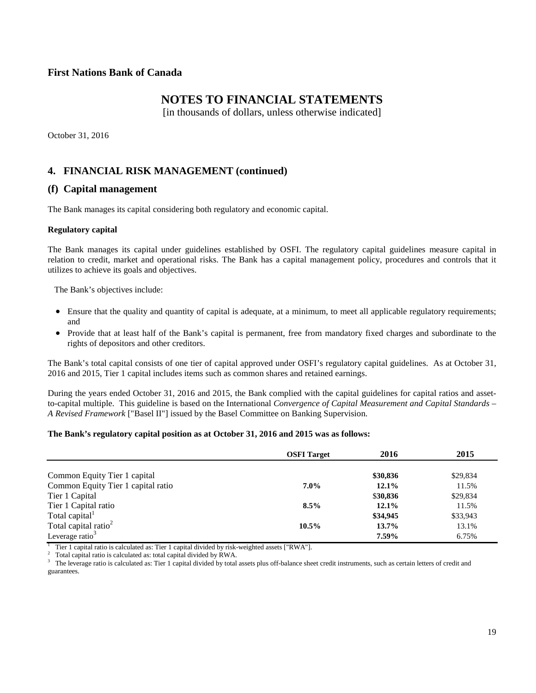## **NOTES TO FINANCIAL STATEMENTS**

[in thousands of dollars, unless otherwise indicated]

October 31, 2016

### **4. FINANCIAL RISK MANAGEMENT (continued)**

#### **(f) Capital management**

The Bank manages its capital considering both regulatory and economic capital.

#### **Regulatory capital**

The Bank manages its capital under guidelines established by OSFI. The regulatory capital guidelines measure capital in relation to credit, market and operational risks. The Bank has a capital management policy, procedures and controls that it utilizes to achieve its goals and objectives.

The Bank's objectives include:

- Ensure that the quality and quantity of capital is adequate, at a minimum, to meet all applicable regulatory requirements; and
- Provide that at least half of the Bank's capital is permanent, free from mandatory fixed charges and subordinate to the rights of depositors and other creditors.

The Bank's total capital consists of one tier of capital approved under OSFI's regulatory capital guidelines. As at October 31, 2016 and 2015, Tier 1 capital includes items such as common shares and retained earnings.

During the years ended October 31, 2016 and 2015, the Bank complied with the capital guidelines for capital ratios and assetto-capital multiple. This guideline is based on the International *Convergence of Capital Measurement and Capital Standards – A Revised Framework* ["Basel II"] issued by the Basel Committee on Banking Supervision.

#### **The Bank's regulatory capital position as at October 31, 2016 and 2015 was as follows:**

|                                    | <b>OSFI</b> Target | 2016     | 2015     |
|------------------------------------|--------------------|----------|----------|
|                                    |                    |          |          |
| Common Equity Tier 1 capital       |                    | \$30,836 | \$29,834 |
| Common Equity Tier 1 capital ratio | $7.0\%$            | $12.1\%$ | 11.5%    |
| Tier 1 Capital                     |                    | \$30,836 | \$29,834 |
| Tier 1 Capital ratio               | $8.5\%$            | $12.1\%$ | 11.5%    |
| Total capital <sup>1</sup>         |                    | \$34,945 | \$33,943 |
| Total capital ratio <sup>2</sup>   | $10.5\%$           | 13.7%    | 13.1%    |
| Leverage ratio $3$                 |                    | 7.59%    | 6.75%    |

1 Tier 1 capital ratio is calculated as: Tier 1 capital divided by risk-weighted assets ["RWA"].

2 Total capital ratio is calculated as: total capital divided by RWA. <sup>3</sup>

 The leverage ratio is calculated as: Tier 1 capital divided by total assets plus off-balance sheet credit instruments, such as certain letters of credit and guarantees.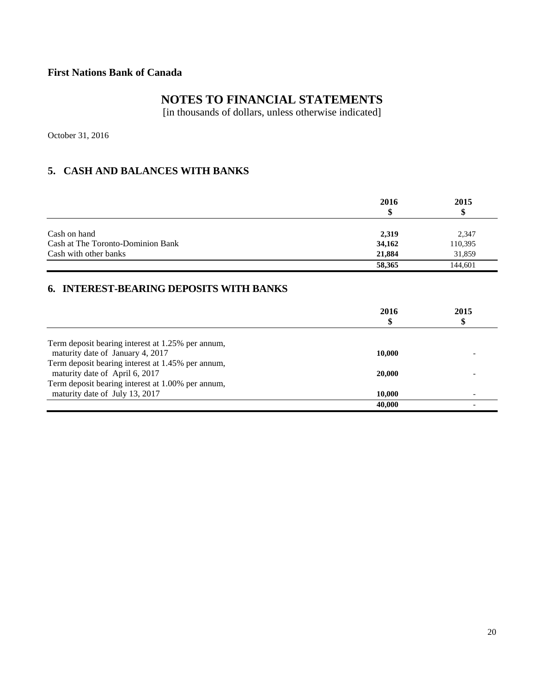# **NOTES TO FINANCIAL STATEMENTS**

[in thousands of dollars, unless otherwise indicated]

October 31, 2016

## **5. CASH AND BALANCES WITH BANKS**

|                                   | 2016<br>S | 2015    |
|-----------------------------------|-----------|---------|
| Cash on hand                      | 2,319     | 2,347   |
| Cash at The Toronto-Dominion Bank | 34,162    | 110,395 |
| Cash with other banks             | 21,884    | 31,859  |
|                                   | 58,365    | 144,601 |

# **6. INTEREST-BEARING DEPOSITS WITH BANKS**

|                                                   | 2016<br>\$ | 2015 |
|---------------------------------------------------|------------|------|
| Term deposit bearing interest at 1.25% per annum, |            |      |
| maturity date of January 4, 2017                  | 10,000     |      |
| Term deposit bearing interest at 1.45% per annum, |            |      |
| maturity date of April 6, 2017                    | 20,000     |      |
| Term deposit bearing interest at 1.00% per annum, |            |      |
| maturity date of July 13, 2017                    | 10,000     |      |
|                                                   | 40,000     |      |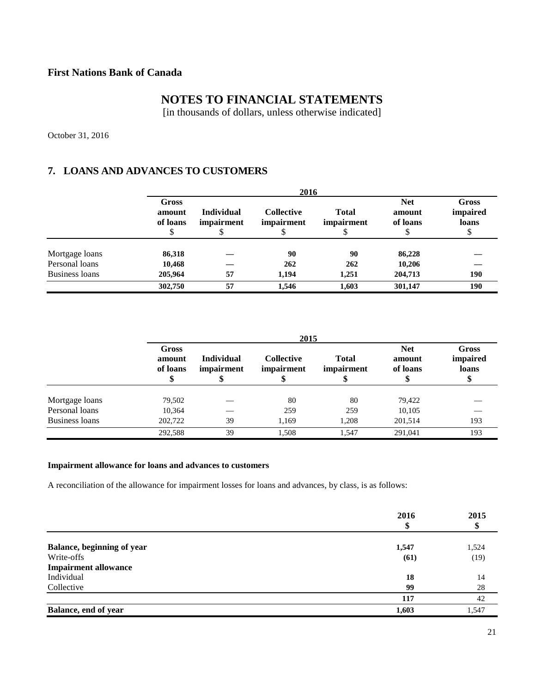[in thousands of dollars, unless otherwise indicated]

October 31, 2016

## **7. LOANS AND ADVANCES TO CUSTOMERS**

|                |                             | 2016                            |                                 |                            |                                       |                                         |
|----------------|-----------------------------|---------------------------------|---------------------------------|----------------------------|---------------------------------------|-----------------------------------------|
|                | Gross<br>amount<br>of loans | <b>Individual</b><br>impairment | <b>Collective</b><br>impairment | <b>Total</b><br>impairment | <b>Net</b><br>amount<br>of loans<br>Φ | <b>Gross</b><br>impaired<br>loans<br>\$ |
| Mortgage loans | 86,318                      |                                 | 90                              | 90                         | 86,228                                |                                         |
| Personal loans | 10,468                      |                                 | 262                             | 262                        | 10,206                                |                                         |
| Business loans | 205,964                     | 57                              | 1,194                           | 1,251                      | 204,713                               | 190                                     |
|                | 302,750                     | 57                              | 1.546                           | 1,603                      | 301,147                               | 190                                     |

|                |                                    | 2015                            |                                 |                            |                                  |                                         |
|----------------|------------------------------------|---------------------------------|---------------------------------|----------------------------|----------------------------------|-----------------------------------------|
|                | <b>Gross</b><br>amount<br>of loans | <b>Individual</b><br>impairment | <b>Collective</b><br>impairment | <b>Total</b><br>impairment | <b>Net</b><br>amount<br>of loans | <b>Gross</b><br>impaired<br>loans<br>\$ |
| Mortgage loans | 79,502                             |                                 | 80                              | 80                         | 79,422                           |                                         |
| Personal loans | 10,364                             |                                 | 259                             | 259                        | 10,105                           |                                         |
| Business loans | 202,722                            | 39                              | 1,169                           | 1,208                      | 201,514                          | 193                                     |
|                | 292,588                            | 39                              | 1.508                           | 1.547                      | 291.041                          | 193                                     |

#### **Impairment allowance for loans and advances to customers**

A reconciliation of the allowance for impairment losses for loans and advances, by class, is as follows:

|                                   | 2016  | 2015  |
|-----------------------------------|-------|-------|
| <b>Balance, beginning of year</b> | 1,547 | 1,524 |
| Write-offs                        | (61)  | (19)  |
| <b>Impairment allowance</b>       |       |       |
| Individual                        | 18    | 14    |
| Collective                        | 99    | 28    |
|                                   | 117   | 42    |
| Balance, end of year              | 1,603 | 1,547 |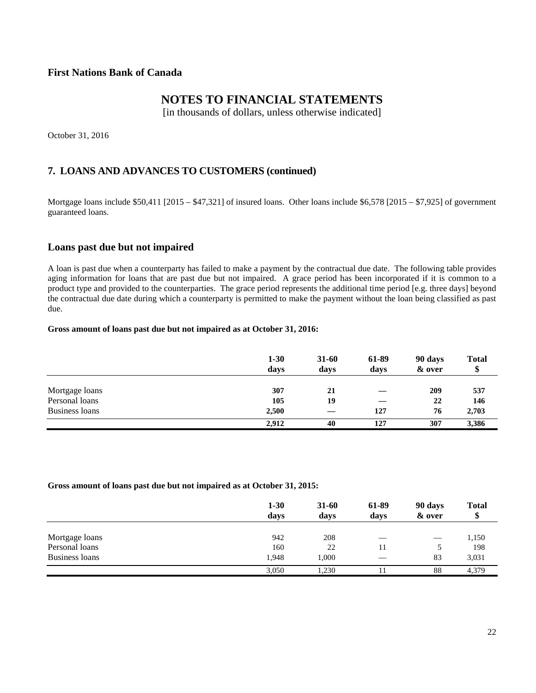## **NOTES TO FINANCIAL STATEMENTS**

[in thousands of dollars, unless otherwise indicated]

October 31, 2016

## **7. LOANS AND ADVANCES TO CUSTOMERS (continued)**

Mortgage loans include \$50,411 [2015 – \$47,321] of insured loans. Other loans include \$6,578 [2015 – \$7,925] of government guaranteed loans.

### **Loans past due but not impaired**

A loan is past due when a counterparty has failed to make a payment by the contractual due date. The following table provides aging information for loans that are past due but not impaired. A grace period has been incorporated if it is common to a product type and provided to the counterparties. The grace period represents the additional time period [e.g. three days] beyond the contractual due date during which a counterparty is permitted to make the payment without the loan being classified as past due.

#### **Gross amount of loans past due but not impaired as at October 31, 2016:**

|                | $1 - 30$<br>davs | $31 - 60$<br>davs | 61-89<br>davs | 90 days<br>& over | <b>Total</b> |
|----------------|------------------|-------------------|---------------|-------------------|--------------|
| Mortgage loans | 307              | 21                | $-$           | 209               | 537          |
| Personal loans | 105              | 19                |               | 22                | 146          |
| Business loans | 2,500            |                   | 127           | 76                | 2,703        |
|                | 2.912            | 40                | 127           | 307               | 3,386        |

#### **Gross amount of loans past due but not impaired as at October 31, 2015:**

|                | $1 - 30$<br>days | $31 - 60$<br>days | 61-89<br>davs | 90 days<br>& over | <b>Total</b><br>\$ |
|----------------|------------------|-------------------|---------------|-------------------|--------------------|
|                |                  |                   |               |                   |                    |
| Mortgage loans | 942              | 208               | ——            | ——                | 1,150              |
| Personal loans | 160              | 22                | 11            |                   | 198                |
| Business loans | 1,948            | 1.000             | $-$           | 83                | 3,031              |
|                | 3,050            | 1,230             |               | 88                | 4,379              |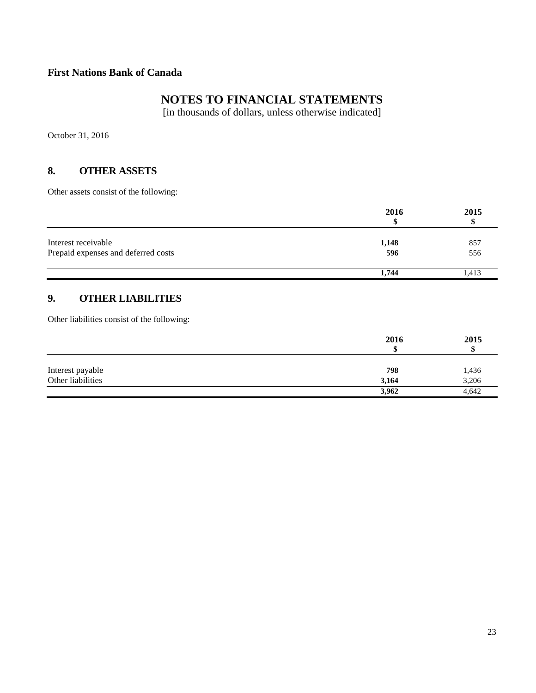# **NOTES TO FINANCIAL STATEMENTS**

[in thousands of dollars, unless otherwise indicated]

October 31, 2016

## **8. OTHER ASSETS**

Other assets consist of the following:

|                                     | 2016  | 2015  |
|-------------------------------------|-------|-------|
| Interest receivable                 | 1,148 | 857   |
| Prepaid expenses and deferred costs | 596   | 556   |
|                                     | 1,744 | 1,413 |

### **9. OTHER LIABILITIES**

Other liabilities consist of the following:

|                   | 2016<br>-SS | 2015  |
|-------------------|-------------|-------|
| Interest payable  | 798         | 1,436 |
| Other liabilities | 3,164       | 3,206 |
|                   | 3,962       | 4,642 |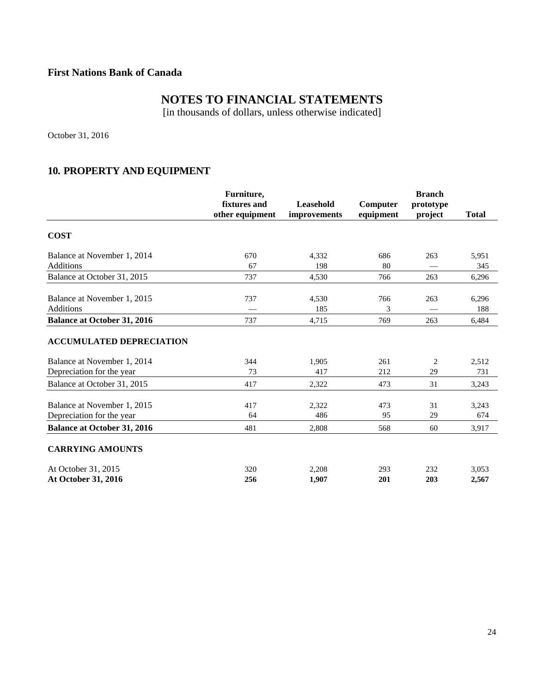# **NOTES TO FINANCIAL STATEMENTS**

[in thousands of dollars, unless otherwise indicated]

October 31, 2016

# **10. PROPERTY AND EQUIPMENT**

|                                    | Furniture,      |              |           | <b>Branch</b> |              |
|------------------------------------|-----------------|--------------|-----------|---------------|--------------|
|                                    | fixtures and    | Leasehold    | Computer  | prototype     |              |
|                                    | other equipment | improvements | equipment | project       | <b>Total</b> |
| <b>COST</b>                        |                 |              |           |               |              |
| Balance at November 1, 2014        | 670             | 4,332        | 686       | 263           | 5,951        |
| Additions                          | 67              | 198          | 80        |               | 345          |
| Balance at October 31, 2015        | 737             | 4,530        | 766       | 263           | 6,296        |
| Balance at November 1, 2015        | 737             | 4,530        | 766       | 263           | 6,296        |
| Additions                          |                 | 185          | 3         |               | 188          |
| <b>Balance at October 31, 2016</b> | 737             | 4,715        | 769       | 263           | 6,484        |
| <b>ACCUMULATED DEPRECIATION</b>    |                 |              |           |               |              |
| Balance at November 1, 2014        | 344             | 1,905        | 261       | 2             | 2,512        |
| Depreciation for the year          | 73              | 417          | 212       | 29            | 731          |
| Balance at October 31, 2015        | 417             | 2,322        | 473       | 31            | 3,243        |
| Balance at November 1, 2015        | 417             | 2,322        | 473       | 31            | 3,243        |
| Depreciation for the year          | 64              | 486          | 95        | 29            | 674          |
| <b>Balance at October 31, 2016</b> | 481             | 2,808        | 568       | 60            | 3,917        |
| <b>CARRYING AMOUNTS</b>            |                 |              |           |               |              |
| At October 31, 2015                | 320             | 2,208        | 293       | 232           | 3,053        |
| At October 31, 2016                | 256             | 1,907        | 201       | 203           | 2,567        |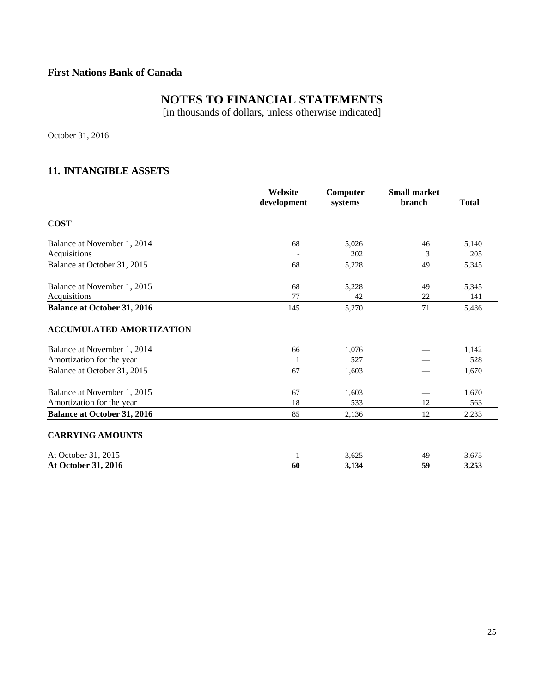# **NOTES TO FINANCIAL STATEMENTS**

[in thousands of dollars, unless otherwise indicated]

October 31, 2016

## **11. INTANGIBLE ASSETS**

|                                    | Website<br>development | Computer<br>systems | <b>Small market</b><br>branch | <b>Total</b> |
|------------------------------------|------------------------|---------------------|-------------------------------|--------------|
| <b>COST</b>                        |                        |                     |                               |              |
| Balance at November 1, 2014        | 68                     | 5,026               | 46                            | 5,140        |
| Acquisitions                       |                        | 202                 | 3                             | 205          |
| Balance at October 31, 2015        | 68                     | 5,228               | 49                            | 5,345        |
| Balance at November 1, 2015        | 68                     | 5,228               | 49                            | 5,345        |
| Acquisitions                       | 77                     | 42                  | 22                            | 141          |
| <b>Balance at October 31, 2016</b> | 145                    | 5,270               | 71                            | 5,486        |
| <b>ACCUMULATED AMORTIZATION</b>    |                        |                     |                               |              |
| Balance at November 1, 2014        | 66                     | 1,076               |                               | 1,142        |
| Amortization for the year          | -1                     | 527                 |                               | 528          |
| Balance at October 31, 2015        | 67                     | 1,603               |                               | 1,670        |
| Balance at November 1, 2015        | 67                     | 1,603               |                               | 1,670        |
| Amortization for the year          | 18                     | 533                 | 12                            | 563          |
| <b>Balance at October 31, 2016</b> | 85                     | 2,136               | 12                            | 2,233        |
| <b>CARRYING AMOUNTS</b>            |                        |                     |                               |              |
| At October 31, 2015                | $\mathbf{1}$           | 3,625               | 49                            | 3,675        |
| At October 31, 2016                | 60                     | 3,134               | 59                            | 3,253        |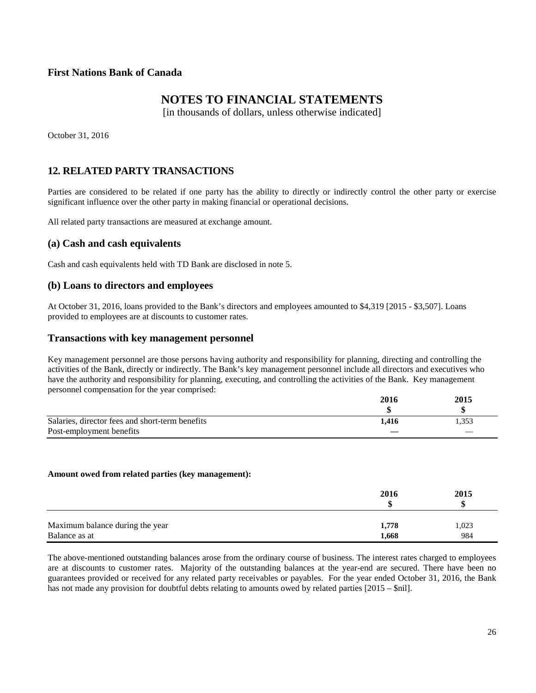# **NOTES TO FINANCIAL STATEMENTS**

[in thousands of dollars, unless otherwise indicated]

October 31, 2016

## **12. RELATED PARTY TRANSACTIONS**

Parties are considered to be related if one party has the ability to directly or indirectly control the other party or exercise significant influence over the other party in making financial or operational decisions.

All related party transactions are measured at exchange amount.

#### **(a) Cash and cash equivalents**

Cash and cash equivalents held with TD Bank are disclosed in note 5.

#### **(b) Loans to directors and employees**

At October 31, 2016, loans provided to the Bank's directors and employees amounted to \$4,319 [2015 - \$3,507]. Loans provided to employees are at discounts to customer rates.

#### **Transactions with key management personnel**

Key management personnel are those persons having authority and responsibility for planning, directing and controlling the activities of the Bank, directly or indirectly. The Bank's key management personnel include all directors and executives who have the authority and responsibility for planning, executing, and controlling the activities of the Bank. Key management personnel compensation for the year comprised:

|                                                 | 2016  | 2015  |
|-------------------------------------------------|-------|-------|
|                                                 |       |       |
| Salaries, director fees and short-term benefits | 1.416 | 1.353 |
| Post-employment benefits                        |       |       |

#### **Amount owed from related parties (key management):**

|                                 | 2016<br>\$. | 2015  |
|---------------------------------|-------------|-------|
| Maximum balance during the year | 1,778       | 1,023 |
| Balance as at                   | 1,668       | 984   |

The above-mentioned outstanding balances arose from the ordinary course of business. The interest rates charged to employees are at discounts to customer rates. Majority of the outstanding balances at the year-end are secured. There have been no guarantees provided or received for any related party receivables or payables. For the year ended October 31, 2016, the Bank has not made any provision for doubtful debts relating to amounts owed by related parties [2015 – \$nil].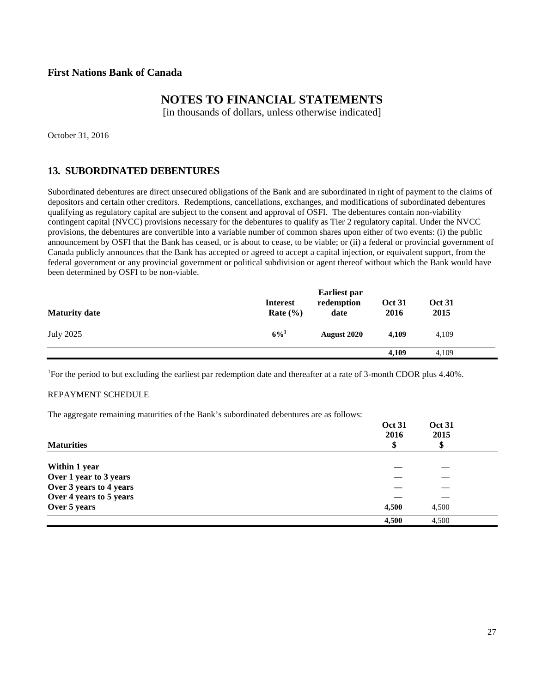[in thousands of dollars, unless otherwise indicated]

October 31, 2016

## **13. SUBORDINATED DEBENTURES**

Subordinated debentures are direct unsecured obligations of the Bank and are subordinated in right of payment to the claims of depositors and certain other creditors. Redemptions, cancellations, exchanges, and modifications of subordinated debentures qualifying as regulatory capital are subject to the consent and approval of OSFI. The debentures contain non-viability contingent capital (NVCC) provisions necessary for the debentures to qualify as Tier 2 regulatory capital. Under the NVCC provisions, the debentures are convertible into a variable number of common shares upon either of two events: (i) the public announcement by OSFI that the Bank has ceased, or is about to cease, to be viable; or (ii) a federal or provincial government of Canada publicly announces that the Bank has accepted or agreed to accept a capital injection, or equivalent support, from the federal government or any provincial government or political subdivision or agent thereof without which the Bank would have been determined by OSFI to be non-viable.

| <b>Maturity date</b> | <b>Interest</b><br>Rate $(\% )$ | <b>Earliest par</b><br>redemption<br>date | <b>Oct 31</b><br>2016 | <b>Oct 31</b><br>2015 |  |
|----------------------|---------------------------------|-------------------------------------------|-----------------------|-----------------------|--|
| July 2025            | $6\%$ <sup>1</sup>              | August 2020                               | 4.109                 | 4.109                 |  |
|                      |                                 |                                           | 4.109                 | 4,109                 |  |

<sup>1</sup>For the period to but excluding the earliest par redemption date and thereafter at a rate of 3-month CDOR plus 4.40%.

#### REPAYMENT SCHEDULE

The aggregate remaining maturities of the Bank's subordinated debentures are as follows:

|                         | <b>Oct 31</b><br>2016 | <b>Oct 31</b><br>2015 |  |
|-------------------------|-----------------------|-----------------------|--|
| <b>Maturities</b>       | \$                    | \$                    |  |
| Within 1 year           |                       |                       |  |
| Over 1 year to 3 years  |                       |                       |  |
| Over 3 years to 4 years |                       |                       |  |
| Over 4 years to 5 years |                       |                       |  |
| Over 5 years            | 4,500                 | 4,500                 |  |
|                         | 4,500                 | 4,500                 |  |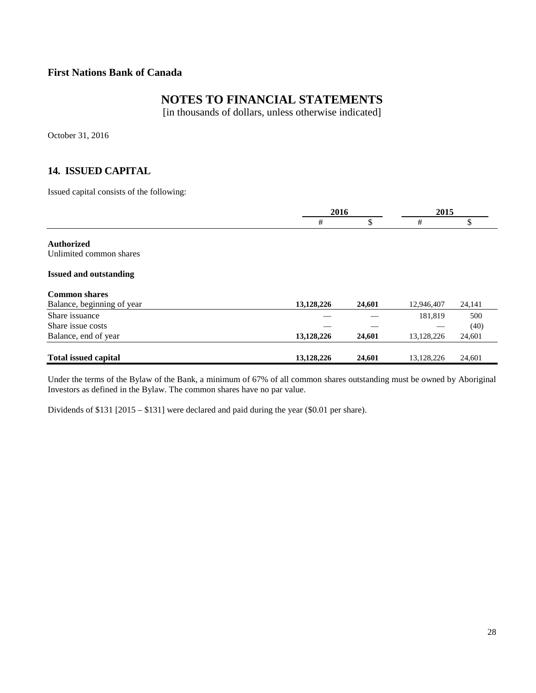# **NOTES TO FINANCIAL STATEMENTS**

[in thousands of dollars, unless otherwise indicated]

October 31, 2016

### **14. ISSUED CAPITAL**

Issued capital consists of the following:

|                               | 2016       |        | 2015       |        |  |
|-------------------------------|------------|--------|------------|--------|--|
|                               | #          | \$     | #          | \$     |  |
| <b>Authorized</b>             |            |        |            |        |  |
| Unlimited common shares       |            |        |            |        |  |
| <b>Issued and outstanding</b> |            |        |            |        |  |
| <b>Common shares</b>          |            |        |            |        |  |
| Balance, beginning of year    | 13,128,226 | 24,601 | 12,946,407 | 24,141 |  |
| Share issuance                |            |        | 181,819    | 500    |  |
| Share issue costs             |            |        |            | (40)   |  |
| Balance, end of year          | 13,128,226 | 24,601 | 13,128,226 | 24,601 |  |
| <b>Total issued capital</b>   | 13,128,226 | 24,601 | 13,128,226 | 24,601 |  |

Under the terms of the Bylaw of the Bank, a minimum of 67% of all common shares outstanding must be owned by Aboriginal Investors as defined in the Bylaw. The common shares have no par value.

Dividends of \$131 [2015 – \$131] were declared and paid during the year (\$0.01 per share).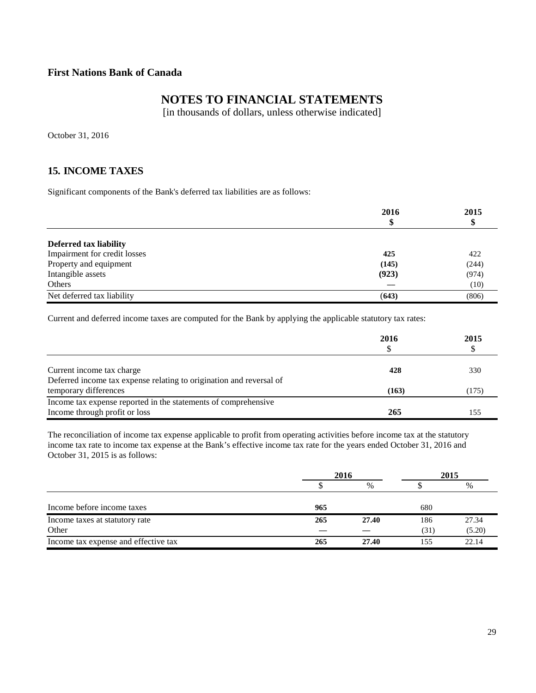# **NOTES TO FINANCIAL STATEMENTS**

[in thousands of dollars, unless otherwise indicated]

October 31, 2016

### **15. INCOME TAXES**

Significant components of the Bank's deferred tax liabilities are as follows:

|                              | 2016  | 2015<br>Ф |
|------------------------------|-------|-----------|
|                              |       |           |
| Deferred tax liability       |       |           |
| Impairment for credit losses | 425   | 422       |
| Property and equipment       | (145) | (244)     |
| Intangible assets            | (923) | (974)     |
| Others                       |       | (10)      |
| Net deferred tax liability   | (643) | (806)     |

Current and deferred income taxes are computed for the Bank by applying the applicable statutory tax rates:

|                                                                                              | 2016  | 2015  |
|----------------------------------------------------------------------------------------------|-------|-------|
| Current income tax charge                                                                    | 428   | 330   |
| Deferred income tax expense relating to origination and reversal of<br>temporary differences | (163) | (175) |
| Income tax expense reported in the statements of comprehensive                               |       |       |
| Income through profit or loss                                                                | 265   | 155   |

The reconciliation of income tax expense applicable to profit from operating activities before income tax at the statutory income tax rate to income tax expense at the Bank's effective income tax rate for the years ended October 31, 2016 and October 31, 2015 is as follows:

|                                      | 2016 |       | 2015 |        |
|--------------------------------------|------|-------|------|--------|
|                                      | $\%$ |       |      | $\%$   |
| Income before income taxes           | 965  |       | 680  |        |
| Income taxes at statutory rate       | 265  | 27.40 | 186  | 27.34  |
| Other                                |      |       | (31) | (5.20) |
| Income tax expense and effective tax | 265  | 27.40 | 155  | 22.14  |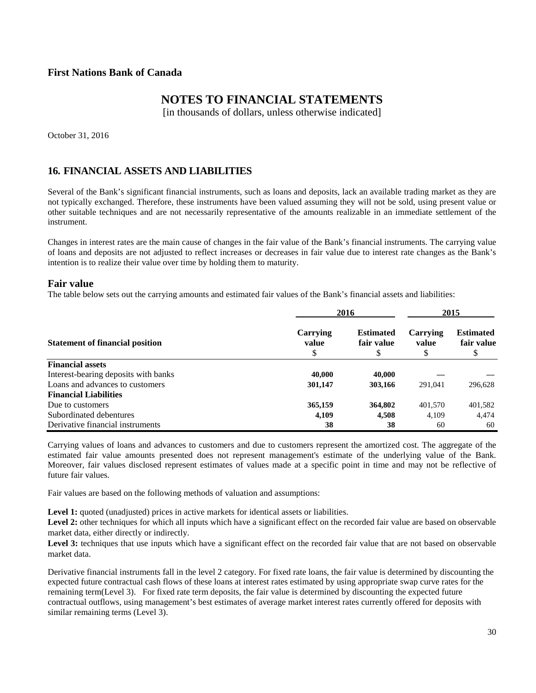[in thousands of dollars, unless otherwise indicated]

October 31, 2016

## **16. FINANCIAL ASSETS AND LIABILITIES**

Several of the Bank's significant financial instruments, such as loans and deposits, lack an available trading market as they are not typically exchanged. Therefore, these instruments have been valued assuming they will not be sold, using present value or other suitable techniques and are not necessarily representative of the amounts realizable in an immediate settlement of the instrument.

Changes in interest rates are the main cause of changes in the fair value of the Bank's financial instruments. The carrying value of loans and deposits are not adjusted to reflect increases or decreases in fair value due to interest rate changes as the Bank's intention is to realize their value over time by holding them to maturity.

#### **Fair value**

The table below sets out the carrying amounts and estimated fair values of the Bank's financial assets and liabilities:

|                                        |                         | 2016                                |                        |                                |
|----------------------------------------|-------------------------|-------------------------------------|------------------------|--------------------------------|
| <b>Statement of financial position</b> | Carrying<br>value<br>\$ | <b>Estimated</b><br>fair value<br>J | Carrying<br>value<br>Φ | <b>Estimated</b><br>fair value |
| <b>Financial assets</b>                |                         |                                     |                        |                                |
| Interest-bearing deposits with banks   | 40,000                  | 40,000                              |                        |                                |
| Loans and advances to customers        | 301,147                 | 303,166                             | 291.041                | 296,628                        |
| <b>Financial Liabilities</b>           |                         |                                     |                        |                                |
| Due to customers                       | 365,159                 | 364,802                             | 401.570                | 401,582                        |
| Subordinated debentures                | 4,109                   | 4,508                               | 4,109                  | 4,474                          |
| Derivative financial instruments       | 38                      | 38                                  | 60                     | 60                             |

Carrying values of loans and advances to customers and due to customers represent the amortized cost. The aggregate of the estimated fair value amounts presented does not represent management's estimate of the underlying value of the Bank. Moreover, fair values disclosed represent estimates of values made at a specific point in time and may not be reflective of future fair values.

Fair values are based on the following methods of valuation and assumptions:

Level 1: quoted (unadjusted) prices in active markets for identical assets or liabilities.

Level 2: other techniques for which all inputs which have a significant effect on the recorded fair value are based on observable market data, either directly or indirectly.

Level 3: techniques that use inputs which have a significant effect on the recorded fair value that are not based on observable market data.

Derivative financial instruments fall in the level 2 category. For fixed rate loans, the fair value is determined by discounting the expected future contractual cash flows of these loans at interest rates estimated by using appropriate swap curve rates for the remaining term(Level 3). For fixed rate term deposits, the fair value is determined by discounting the expected future contractual outflows, using management's best estimates of average market interest rates currently offered for deposits with similar remaining terms (Level 3).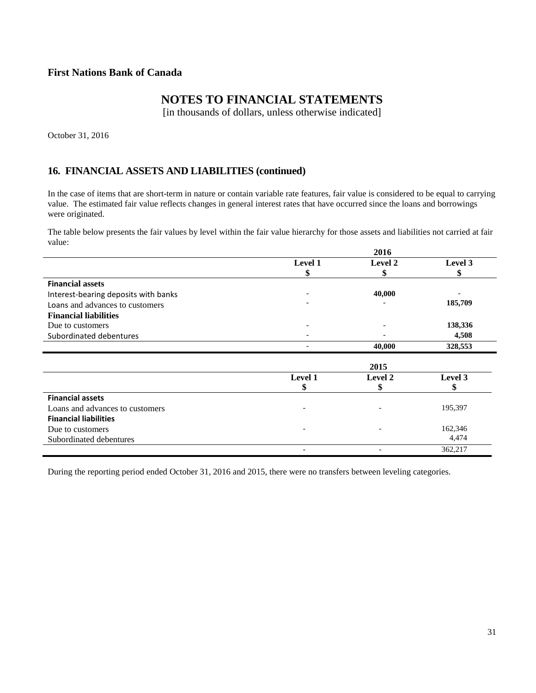[in thousands of dollars, unless otherwise indicated]

October 31, 2016

## **16. FINANCIAL ASSETS AND LIABILITIES (continued)**

In the case of items that are short-term in nature or contain variable rate features, fair value is considered to be equal to carrying value. The estimated fair value reflects changes in general interest rates that have occurred since the loans and borrowings were originated.

The table below presents the fair values by level within the fair value hierarchy for those assets and liabilities not carried at fair value:

| <b>Level 1</b> | Level 2        | Level 3 |
|----------------|----------------|---------|
| \$             | \$             | \$      |
|                |                |         |
|                | 40,000         |         |
|                |                | 185,709 |
|                |                |         |
|                |                | 138,336 |
|                |                | 4,508   |
|                | 40,000         | 328,553 |
|                |                |         |
|                | 2015           |         |
| Level 1        | <b>Level 2</b> | Level 3 |
| \$             | \$             | \$      |
|                |                |         |
|                |                | 195,397 |
|                |                |         |
|                |                | 162,346 |
|                |                | 4,474   |
|                |                | 362,217 |
|                |                | 2016    |

During the reporting period ended October 31, 2016 and 2015, there were no transfers between leveling categories.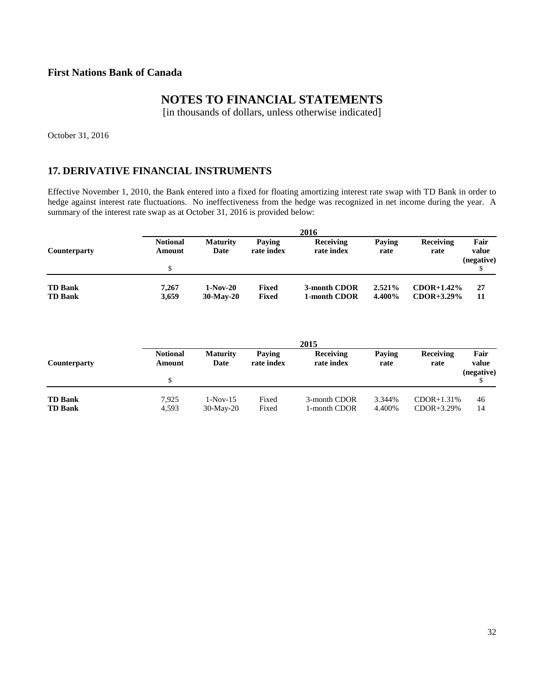[in thousands of dollars, unless otherwise indicated]

October 31, 2016

### **17. DERIVATIVE FINANCIAL INSTRUMENTS**

Effective November 1, 2010, the Bank entered into a fixed for floating amortizing interest rate swap with TD Bank in order to hedge against interest rate fluctuations. No ineffectiveness from the hedge was recognized in net income during the year. A summary of the interest rate swap as at October 31, 2016 is provided below:

|                                  |                                 |                           |                      | 2016                         |                     |                               |                             |
|----------------------------------|---------------------------------|---------------------------|----------------------|------------------------------|---------------------|-------------------------------|-----------------------------|
| Counterparty                     | <b>Notional</b><br>Amount<br>\$ | <b>Maturity</b><br>Date   | Paving<br>rate index | Receiving<br>rate index      | Paying<br>rate      | Receiving<br>rate             | Fair<br>value<br>(negative) |
| <b>TD Bank</b><br><b>TD Bank</b> | 7.267<br>3,659                  | $1-Nov-20$<br>$30-Mav-20$ | Fixed<br>Fixed       | 3-month CDOR<br>1-month CDOR | $2.521\%$<br>4.400% | $CDOR+1.42\%$<br>$CDOR+3.29%$ | 27<br>11                    |

|                                  |                                 |                           |                      | 2015                         |                  |                              |                             |
|----------------------------------|---------------------------------|---------------------------|----------------------|------------------------------|------------------|------------------------------|-----------------------------|
| Counterparty                     | <b>Notional</b><br>Amount<br>\$ | <b>Maturity</b><br>Date   | Paving<br>rate index | Receiving<br>rate index      | Paying<br>rate   | Receiving<br>rate            | Fair<br>value<br>(negative) |
| <b>TD Bank</b><br><b>TD Bank</b> | 7.925<br>4,593                  | $1-Nov-15$<br>$30-May-20$ | Fixed<br>Fixed       | 3-month CDOR<br>1-month CDOR | 3.344%<br>4.400% | $CDOR+1.31%$<br>$CDOR+3.29%$ | 46<br>14                    |